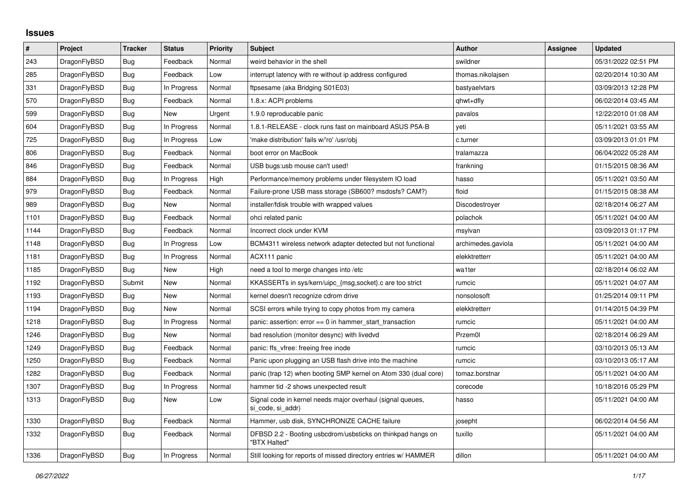## **Issues**

| $\pmb{\sharp}$ | Project      | <b>Tracker</b> | <b>Status</b> | <b>Priority</b> | <b>Subject</b>                                                                  | <b>Author</b>      | Assignee | <b>Updated</b>      |
|----------------|--------------|----------------|---------------|-----------------|---------------------------------------------------------------------------------|--------------------|----------|---------------------|
| 243            | DragonFlyBSD | Bug            | Feedback      | Normal          | weird behavior in the shell                                                     | swildner           |          | 05/31/2022 02:51 PM |
| 285            | DragonFlyBSD | <b>Bug</b>     | Feedback      | Low             | interrupt latency with re without ip address configured                         | thomas.nikolajsen  |          | 02/20/2014 10:30 AM |
| 331            | DragonFlyBSD | <b>Bug</b>     | In Progress   | Normal          | ftpsesame (aka Bridging S01E03)                                                 | bastyaelvtars      |          | 03/09/2013 12:28 PM |
| 570            | DragonFlyBSD | <b>Bug</b>     | Feedback      | Normal          | 1.8.x: ACPI problems                                                            | qhwt+dfly          |          | 06/02/2014 03:45 AM |
| 599            | DragonFlyBSD | <b>Bug</b>     | New           | Urgent          | 1.9.0 reproducable panic                                                        | pavalos            |          | 12/22/2010 01:08 AM |
| 604            | DragonFlyBSD | Bug            | In Progress   | Normal          | 1.8.1-RELEASE - clock runs fast on mainboard ASUS P5A-B                         | yeti               |          | 05/11/2021 03:55 AM |
| 725            | DragonFlyBSD | Bug            | In Progress   | Low             | 'make distribution' fails w/'ro' /usr/obj                                       | c.turner           |          | 03/09/2013 01:01 PM |
| 806            | DragonFlyBSD | Bug            | Feedback      | Normal          | boot error on MacBook                                                           | tralamazza         |          | 06/04/2022 05:28 AM |
| 846            | DragonFlyBSD | Bug            | Feedback      | Normal          | USB bugs:usb mouse can't used!                                                  | frankning          |          | 01/15/2015 08:36 AM |
| 884            | DragonFlyBSD | Bug            | In Progress   | High            | Performance/memory problems under filesystem IO load                            | hasso              |          | 05/11/2021 03:50 AM |
| 979            | DragonFlyBSD | Bug            | Feedback      | Normal          | Failure-prone USB mass storage (SB600? msdosfs? CAM?)                           | floid              |          | 01/15/2015 08:38 AM |
| 989            | DragonFlyBSD | Bug            | New           | Normal          | installer/fdisk trouble with wrapped values                                     | Discodestroyer     |          | 02/18/2014 06:27 AM |
| 1101           | DragonFlyBSD | <b>Bug</b>     | Feedback      | Normal          | ohci related panic                                                              | polachok           |          | 05/11/2021 04:00 AM |
| 1144           | DragonFlyBSD | <b>Bug</b>     | Feedback      | Normal          | Incorrect clock under KVM                                                       | msylvan            |          | 03/09/2013 01:17 PM |
| 1148           | DragonFlyBSD | Bug            | In Progress   | Low             | BCM4311 wireless network adapter detected but not functional                    | archimedes.gaviola |          | 05/11/2021 04:00 AM |
| 1181           | DragonFlyBSD | Bug            | In Progress   | Normal          | ACX111 panic                                                                    | elekktretterr      |          | 05/11/2021 04:00 AM |
| 1185           | DragonFlyBSD | <b>Bug</b>     | <b>New</b>    | High            | need a tool to merge changes into /etc                                          | wa1ter             |          | 02/18/2014 06:02 AM |
| 1192           | DragonFlyBSD | Submit         | <b>New</b>    | Normal          | KKASSERTs in sys/kern/uipc {msg,socket} c are too strict                        | rumcic             |          | 05/11/2021 04:07 AM |
| 1193           | DragonFlyBSD | Bug            | <b>New</b>    | Normal          | kernel doesn't recognize cdrom drive                                            | nonsolosoft        |          | 01/25/2014 09:11 PM |
| 1194           | DragonFlyBSD | <b>Bug</b>     | New           | Normal          | SCSI errors while trying to copy photos from my camera                          | elekktretterr      |          | 01/14/2015 04:39 PM |
| 1218           | DragonFlyBSD | <b>Bug</b>     | In Progress   | Normal          | panic: assertion: error == 0 in hammer_start_transaction                        | rumcic             |          | 05/11/2021 04:00 AM |
| 1246           | DragonFlyBSD | Bug            | New           | Normal          | bad resolution (monitor desync) with livedvd                                    | Przem0l            |          | 02/18/2014 06:29 AM |
| 1249           | DragonFlyBSD | <b>Bug</b>     | Feedback      | Normal          | panic: ffs vfree: freeing free inode                                            | rumcic             |          | 03/10/2013 05:13 AM |
| 1250           | DragonFlyBSD | <b>Bug</b>     | Feedback      | Normal          | Panic upon plugging an USB flash drive into the machine                         | rumcic             |          | 03/10/2013 05:17 AM |
| 1282           | DragonFlyBSD | <b>Bug</b>     | Feedback      | Normal          | panic (trap 12) when booting SMP kernel on Atom 330 (dual core)                 | tomaz.borstnar     |          | 05/11/2021 04:00 AM |
| 1307           | DragonFlyBSD | Bug            | In Progress   | Normal          | hammer tid -2 shows unexpected result                                           | corecode           |          | 10/18/2016 05:29 PM |
| 1313           | DragonFlyBSD | <b>Bug</b>     | New           | Low             | Signal code in kernel needs major overhaul (signal queues,<br>si code, si addr) | hasso              |          | 05/11/2021 04:00 AM |
| 1330           | DragonFlyBSD | <b>Bug</b>     | Feedback      | Normal          | Hammer, usb disk, SYNCHRONIZE CACHE failure                                     | josepht            |          | 06/02/2014 04:56 AM |
| 1332           | DragonFlyBSD | <b>Bug</b>     | Feedback      | Normal          | DFBSD 2.2 - Booting usbcdrom/usbsticks on thinkpad hangs on<br>"BTX Halted"     | tuxillo            |          | 05/11/2021 04:00 AM |
| 1336           | DragonFlyBSD | Bug            | In Progress   | Normal          | Still looking for reports of missed directory entries w/ HAMMER                 | dillon             |          | 05/11/2021 04:00 AM |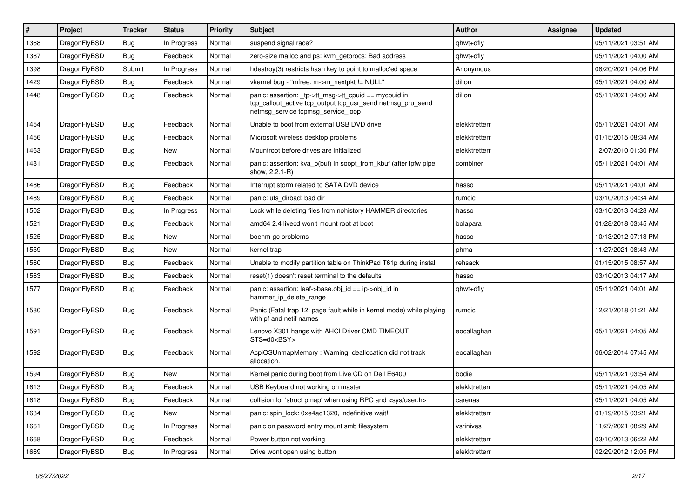| $\#$ | Project      | <b>Tracker</b> | <b>Status</b> | <b>Priority</b> | <b>Subject</b>                                                                                                                                            | <b>Author</b> | Assignee | <b>Updated</b>      |
|------|--------------|----------------|---------------|-----------------|-----------------------------------------------------------------------------------------------------------------------------------------------------------|---------------|----------|---------------------|
| 1368 | DragonFlyBSD | <b>Bug</b>     | In Progress   | Normal          | suspend signal race?                                                                                                                                      | qhwt+dfly     |          | 05/11/2021 03:51 AM |
| 1387 | DragonFlyBSD | <b>Bug</b>     | Feedback      | Normal          | zero-size malloc and ps: kvm_getprocs: Bad address                                                                                                        | qhwt+dfly     |          | 05/11/2021 04:00 AM |
| 1398 | DragonFlyBSD | Submit         | In Progress   | Normal          | hdestroy(3) restricts hash key to point to malloc'ed space                                                                                                | Anonymous     |          | 08/20/2021 04:06 PM |
| 1429 | DragonFlyBSD | <b>Bug</b>     | Feedback      | Normal          | vkernel bug - "mfree: m->m_nextpkt != NULL"                                                                                                               | dillon        |          | 05/11/2021 04:00 AM |
| 1448 | DragonFlyBSD | Bug            | Feedback      | Normal          | panic: assertion: _tp->tt_msg->tt_cpuid == mycpuid in<br>tcp_callout_active tcp_output tcp_usr_send netmsg_pru_send<br>netmsg_service tcpmsg_service_loop | dillon        |          | 05/11/2021 04:00 AM |
| 1454 | DragonFlyBSD | <b>Bug</b>     | Feedback      | Normal          | Unable to boot from external USB DVD drive                                                                                                                | elekktretterr |          | 05/11/2021 04:01 AM |
| 1456 | DragonFlyBSD | <b>Bug</b>     | Feedback      | Normal          | Microsoft wireless desktop problems                                                                                                                       | elekktretterr |          | 01/15/2015 08:34 AM |
| 1463 | DragonFlyBSD | <b>Bug</b>     | New           | Normal          | Mountroot before drives are initialized                                                                                                                   | elekktretterr |          | 12/07/2010 01:30 PM |
| 1481 | DragonFlyBSD | <b>Bug</b>     | Feedback      | Normal          | panic: assertion: kva_p(buf) in soopt_from_kbuf (after ipfw pipe<br>show, 2.2.1-R)                                                                        | combiner      |          | 05/11/2021 04:01 AM |
| 1486 | DragonFlyBSD | Bug            | Feedback      | Normal          | Interrupt storm related to SATA DVD device                                                                                                                | hasso         |          | 05/11/2021 04:01 AM |
| 1489 | DragonFlyBSD | Bug            | Feedback      | Normal          | panic: ufs dirbad: bad dir                                                                                                                                | rumcic        |          | 03/10/2013 04:34 AM |
| 1502 | DragonFlyBSD | <b>Bug</b>     | In Progress   | Normal          | Lock while deleting files from nohistory HAMMER directories                                                                                               | hasso         |          | 03/10/2013 04:28 AM |
| 1521 | DragonFlyBSD | <b>Bug</b>     | Feedback      | Normal          | amd64 2.4 livecd won't mount root at boot                                                                                                                 | bolapara      |          | 01/28/2018 03:45 AM |
| 1525 | DragonFlyBSD | <b>Bug</b>     | New           | Normal          | boehm-gc problems                                                                                                                                         | hasso         |          | 10/13/2012 07:13 PM |
| 1559 | DragonFlyBSD | Bug            | New           | Normal          | kernel trap                                                                                                                                               | phma          |          | 11/27/2021 08:43 AM |
| 1560 | DragonFlyBSD | <b>Bug</b>     | Feedback      | Normal          | Unable to modify partition table on ThinkPad T61p during install                                                                                          | rehsack       |          | 01/15/2015 08:57 AM |
| 1563 | DragonFlyBSD | <b>Bug</b>     | Feedback      | Normal          | reset(1) doesn't reset terminal to the defaults                                                                                                           | hasso         |          | 03/10/2013 04:17 AM |
| 1577 | DragonFlyBSD | <b>Bug</b>     | Feedback      | Normal          | panic: assertion: leaf->base.obj_id == ip->obj_id in<br>hammer_ip_delete_range                                                                            | qhwt+dfly     |          | 05/11/2021 04:01 AM |
| 1580 | DragonFlyBSD | Bug            | Feedback      | Normal          | Panic (Fatal trap 12: page fault while in kernel mode) while playing<br>with pf and netif names                                                           | rumcic        |          | 12/21/2018 01:21 AM |
| 1591 | DragonFlyBSD | Bug            | Feedback      | Normal          | Lenovo X301 hangs with AHCI Driver CMD TIMEOUT<br>STS=d0 <bsy></bsy>                                                                                      | eocallaghan   |          | 05/11/2021 04:05 AM |
| 1592 | DragonFlyBSD | Bug            | Feedback      | Normal          | AcpiOSUnmapMemory: Warning, deallocation did not track<br>allocation.                                                                                     | eocallaghan   |          | 06/02/2014 07:45 AM |
| 1594 | DragonFlyBSD | Bug            | <b>New</b>    | Normal          | Kernel panic during boot from Live CD on Dell E6400                                                                                                       | bodie         |          | 05/11/2021 03:54 AM |
| 1613 | DragonFlyBSD | Bug            | Feedback      | Normal          | USB Keyboard not working on master                                                                                                                        | elekktretterr |          | 05/11/2021 04:05 AM |
| 1618 | DragonFlyBSD | <b>Bug</b>     | Feedback      | Normal          | collision for 'struct pmap' when using RPC and <sys user.h=""></sys>                                                                                      | carenas       |          | 05/11/2021 04:05 AM |
| 1634 | DragonFlyBSD | <b>Bug</b>     | New           | Normal          | panic: spin_lock: 0xe4ad1320, indefinitive wait!                                                                                                          | elekktretterr |          | 01/19/2015 03:21 AM |
| 1661 | DragonFlyBSD | <b>Bug</b>     | In Progress   | Normal          | panic on password entry mount smb filesystem                                                                                                              | vsrinivas     |          | 11/27/2021 08:29 AM |
| 1668 | DragonFlyBSD | <b>Bug</b>     | Feedback      | Normal          | Power button not working                                                                                                                                  | elekktretterr |          | 03/10/2013 06:22 AM |
| 1669 | DragonFlyBSD | <b>Bug</b>     | In Progress   | Normal          | Drive wont open using button                                                                                                                              | elekktretterr |          | 02/29/2012 12:05 PM |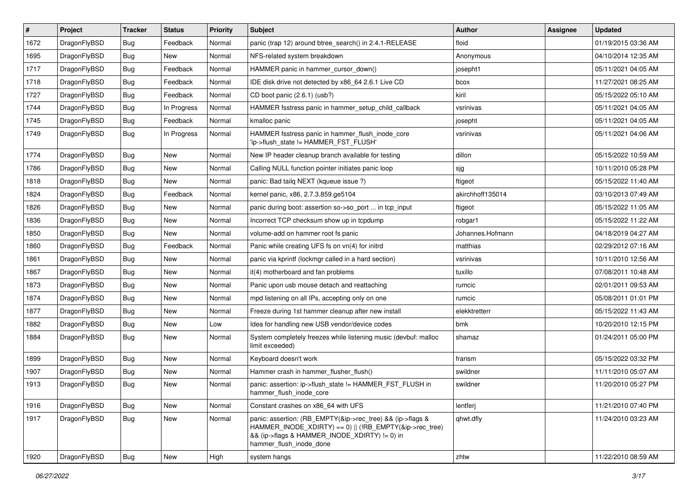| $\vert$ # | Project      | <b>Tracker</b> | <b>Status</b> | <b>Priority</b> | <b>Subject</b>                                                                                                                                                                                    | <b>Author</b>    | Assignee | <b>Updated</b>      |
|-----------|--------------|----------------|---------------|-----------------|---------------------------------------------------------------------------------------------------------------------------------------------------------------------------------------------------|------------------|----------|---------------------|
| 1672      | DragonFlyBSD | Bug            | Feedback      | Normal          | panic (trap 12) around btree_search() in 2.4.1-RELEASE                                                                                                                                            | floid            |          | 01/19/2015 03:36 AM |
| 1695      | DragonFlyBSD | <b>Bug</b>     | New           | Normal          | NFS-related system breakdown                                                                                                                                                                      | Anonymous        |          | 04/10/2014 12:35 AM |
| 1717      | DragonFlyBSD | <b>Bug</b>     | Feedback      | Normal          | HAMMER panic in hammer cursor down()                                                                                                                                                              | josepht1         |          | 05/11/2021 04:05 AM |
| 1718      | DragonFlyBSD | Bug            | Feedback      | Normal          | IDE disk drive not detected by x86_64 2.6.1 Live CD                                                                                                                                               | bcox             |          | 11/27/2021 08:25 AM |
| 1727      | DragonFlyBSD | Bug            | Feedback      | Normal          | CD boot panic (2.6.1) (usb?)                                                                                                                                                                      | kiril            |          | 05/15/2022 05:10 AM |
| 1744      | DragonFlyBSD | <b>Bug</b>     | In Progress   | Normal          | HAMMER fsstress panic in hammer setup child callback                                                                                                                                              | vsrinivas        |          | 05/11/2021 04:05 AM |
| 1745      | DragonFlyBSD | Bug            | Feedback      | Normal          | kmalloc panic                                                                                                                                                                                     | josepht          |          | 05/11/2021 04:05 AM |
| 1749      | DragonFlyBSD | Bug            | In Progress   | Normal          | HAMMER fsstress panic in hammer_flush_inode_core<br>'ip->flush state != HAMMER FST FLUSH'                                                                                                         | vsrinivas        |          | 05/11/2021 04:06 AM |
| 1774      | DragonFlyBSD | Bug            | <b>New</b>    | Normal          | New IP header cleanup branch available for testing                                                                                                                                                | dillon           |          | 05/15/2022 10:59 AM |
| 1786      | DragonFlyBSD | Bug            | <b>New</b>    | Normal          | Calling NULL function pointer initiates panic loop                                                                                                                                                | sjg              |          | 10/11/2010 05:28 PM |
| 1818      | DragonFlyBSD | Bug            | <b>New</b>    | Normal          | panic: Bad tailq NEXT (kqueue issue ?)                                                                                                                                                            | ftigeot          |          | 05/15/2022 11:40 AM |
| 1824      | DragonFlyBSD | Bug            | Feedback      | Normal          | kernel panic, x86, 2.7.3.859.ge5104                                                                                                                                                               | akirchhoff135014 |          | 03/10/2013 07:49 AM |
| 1826      | DragonFlyBSD | Bug            | <b>New</b>    | Normal          | panic during boot: assertion so->so_port  in tcp_input                                                                                                                                            | ftigeot          |          | 05/15/2022 11:05 AM |
| 1836      | DragonFlyBSD | <b>Bug</b>     | <b>New</b>    | Normal          | Incorrect TCP checksum show up in tcpdump                                                                                                                                                         | robgar1          |          | 05/15/2022 11:22 AM |
| 1850      | DragonFlyBSD | <b>Bug</b>     | <b>New</b>    | Normal          | volume-add on hammer root fs panic                                                                                                                                                                | Johannes.Hofmann |          | 04/18/2019 04:27 AM |
| 1860      | DragonFlyBSD | <b>Bug</b>     | Feedback      | Normal          | Panic while creating UFS fs on vn(4) for initrd                                                                                                                                                   | matthias         |          | 02/29/2012 07:16 AM |
| 1861      | DragonFlyBSD | Bug            | <b>New</b>    | Normal          | panic via kprintf (lockmgr called in a hard section)                                                                                                                                              | vsrinivas        |          | 10/11/2010 12:56 AM |
| 1867      | DragonFlyBSD | <b>Bug</b>     | <b>New</b>    | Normal          | it(4) motherboard and fan problems                                                                                                                                                                | tuxillo          |          | 07/08/2011 10:48 AM |
| 1873      | DragonFlyBSD | Bug            | <b>New</b>    | Normal          | Panic upon usb mouse detach and reattaching                                                                                                                                                       | rumcic           |          | 02/01/2011 09:53 AM |
| 1874      | DragonFlyBSD | <b>Bug</b>     | <b>New</b>    | Normal          | mpd listening on all IPs, accepting only on one                                                                                                                                                   | rumcic           |          | 05/08/2011 01:01 PM |
| 1877      | DragonFlyBSD | Bug            | <b>New</b>    | Normal          | Freeze during 1st hammer cleanup after new install                                                                                                                                                | elekktretterr    |          | 05/15/2022 11:43 AM |
| 1882      | DragonFlyBSD | Bug            | <b>New</b>    | Low             | Idea for handling new USB vendor/device codes                                                                                                                                                     | bmk              |          | 10/20/2010 12:15 PM |
| 1884      | DragonFlyBSD | Bug            | New           | Normal          | System completely freezes while listening music (devbuf: malloc<br>limit exceeded)                                                                                                                | shamaz           |          | 01/24/2011 05:00 PM |
| 1899      | DragonFlyBSD | Bug            | <b>New</b>    | Normal          | Keyboard doesn't work                                                                                                                                                                             | fransm           |          | 05/15/2022 03:32 PM |
| 1907      | DragonFlyBSD | Bug            | New           | Normal          | Hammer crash in hammer_flusher_flush()                                                                                                                                                            | swildner         |          | 11/11/2010 05:07 AM |
| 1913      | DragonFlyBSD | Bug            | <b>New</b>    | Normal          | panic: assertion: ip->flush_state != HAMMER_FST_FLUSH in<br>hammer_flush_inode_core                                                                                                               | swildner         |          | 11/20/2010 05:27 PM |
| 1916      | DragonFlyBSD | Bug            | <b>New</b>    | Normal          | Constant crashes on x86 64 with UFS                                                                                                                                                               | lentferj         |          | 11/21/2010 07:40 PM |
| 1917      | DragonFlyBSD | <b>Bug</b>     | New           | Normal          | panic: assertion: (RB_EMPTY(&ip->rec_tree) && (ip->flags &<br>HAMMER_INODE_XDIRTY) == 0)    (!RB_EMPTY(&ip->rec_tree)<br>&& (ip->flags & HAMMER_INODE_XDIRTY) != 0) in<br>hammer_flush_inode_done | qhwt.dfly        |          | 11/24/2010 03:23 AM |
| 1920      | DragonFlyBSD | Bug            | New           | High            | system hangs                                                                                                                                                                                      | zhtw             |          | 11/22/2010 08:59 AM |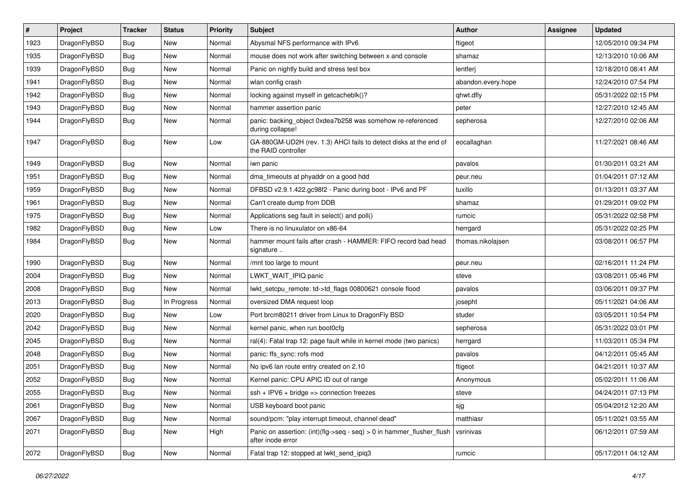| $\vert$ # | Project      | <b>Tracker</b> | <b>Status</b> | <b>Priority</b> | <b>Subject</b>                                                                                | <b>Author</b>      | <b>Assignee</b> | <b>Updated</b>      |
|-----------|--------------|----------------|---------------|-----------------|-----------------------------------------------------------------------------------------------|--------------------|-----------------|---------------------|
| 1923      | DragonFlyBSD | Bug            | <b>New</b>    | Normal          | Abysmal NFS performance with IPv6                                                             | ftigeot            |                 | 12/05/2010 09:34 PM |
| 1935      | DragonFlyBSD | <b>Bug</b>     | <b>New</b>    | Normal          | mouse does not work after switching between x and console                                     | shamaz             |                 | 12/13/2010 10:06 AM |
| 1939      | DragonFlyBSD | <b>Bug</b>     | <b>New</b>    | Normal          | Panic on nightly build and stress test box                                                    | lentferj           |                 | 12/18/2010 08:41 AM |
| 1941      | DragonFlyBSD | <b>Bug</b>     | <b>New</b>    | Normal          | wlan config crash                                                                             | abandon.every.hope |                 | 12/24/2010 07:54 PM |
| 1942      | DragonFlyBSD | Bug            | <b>New</b>    | Normal          | locking against myself in getcacheblk()?                                                      | qhwt.dfly          |                 | 05/31/2022 02:15 PM |
| 1943      | DragonFlyBSD | <b>Bug</b>     | New           | Normal          | hammer assertion panic                                                                        | peter              |                 | 12/27/2010 12:45 AM |
| 1944      | DragonFlyBSD | Bug            | <b>New</b>    | Normal          | panic: backing_object 0xdea7b258 was somehow re-referenced<br>during collapse!                | sepherosa          |                 | 12/27/2010 02:06 AM |
| 1947      | DragonFlyBSD | Bug            | <b>New</b>    | Low             | GA-880GM-UD2H (rev. 1.3) AHCI fails to detect disks at the end of<br>the RAID controller      | eocallaghan        |                 | 11/27/2021 08:46 AM |
| 1949      | DragonFlyBSD | Bug            | <b>New</b>    | Normal          | iwn panic                                                                                     | pavalos            |                 | 01/30/2011 03:21 AM |
| 1951      | DragonFlyBSD | Bug            | New           | Normal          | dma_timeouts at phyaddr on a good hdd                                                         | peur.neu           |                 | 01/04/2011 07:12 AM |
| 1959      | DragonFlyBSD | <b>Bug</b>     | <b>New</b>    | Normal          | DFBSD v2.9.1.422.gc98f2 - Panic during boot - IPv6 and PF                                     | tuxillo            |                 | 01/13/2011 03:37 AM |
| 1961      | DragonFlyBSD | <b>Bug</b>     | <b>New</b>    | Normal          | Can't create dump from DDB                                                                    | shamaz             |                 | 01/29/2011 09:02 PM |
| 1975      | DragonFlyBSD | Bug            | <b>New</b>    | Normal          | Applications seg fault in select() and poll()                                                 | rumcic             |                 | 05/31/2022 02:58 PM |
| 1982      | DragonFlyBSD | <b>Bug</b>     | <b>New</b>    | Low             | There is no linuxulator on x86-64                                                             | herrgard           |                 | 05/31/2022 02:25 PM |
| 1984      | DragonFlyBSD | Bug            | <b>New</b>    | Normal          | hammer mount fails after crash - HAMMER: FIFO record bad head<br>signature                    | thomas.nikolajsen  |                 | 03/08/2011 06:57 PM |
| 1990      | DragonFlyBSD | <b>Bug</b>     | <b>New</b>    | Normal          | /mnt too large to mount                                                                       | peur.neu           |                 | 02/16/2011 11:24 PM |
| 2004      | DragonFlyBSD | Bug            | <b>New</b>    | Normal          | LWKT WAIT IPIQ panic                                                                          | steve              |                 | 03/08/2011 05:46 PM |
| 2008      | DragonFlyBSD | <b>Bug</b>     | New           | Normal          | lwkt_setcpu_remote: td->td_flags 00800621 console flood                                       | pavalos            |                 | 03/06/2011 09:37 PM |
| 2013      | DragonFlyBSD | <b>Bug</b>     | In Progress   | Normal          | oversized DMA request loop                                                                    | josepht            |                 | 05/11/2021 04:06 AM |
| 2020      | DragonFlyBSD | <b>Bug</b>     | <b>New</b>    | Low             | Port brcm80211 driver from Linux to DragonFly BSD                                             | studer             |                 | 03/05/2011 10:54 PM |
| 2042      | DragonFlyBSD | <b>Bug</b>     | <b>New</b>    | Normal          | kernel panic, when run boot0cfg                                                               | sepherosa          |                 | 05/31/2022 03:01 PM |
| 2045      | DragonFlyBSD | Bug            | <b>New</b>    | Normal          | ral(4): Fatal trap 12: page fault while in kernel mode (two panics)                           | herrgard           |                 | 11/03/2011 05:34 PM |
| 2048      | DragonFlyBSD | Bug            | <b>New</b>    | Normal          | panic: ffs_sync: rofs mod                                                                     | pavalos            |                 | 04/12/2011 05:45 AM |
| 2051      | DragonFlyBSD | <b>Bug</b>     | New           | Normal          | No ipv6 lan route entry created on 2.10                                                       | ftigeot            |                 | 04/21/2011 10:37 AM |
| 2052      | DragonFlyBSD | Bug            | <b>New</b>    | Normal          | Kernel panic: CPU APIC ID out of range                                                        | Anonymous          |                 | 05/02/2011 11:06 AM |
| 2055      | DragonFlyBSD | Bug            | New           | Normal          | $ssh + IPV6 + bridge \Rightarrow$ connection freezes                                          | steve              |                 | 04/24/2011 07:13 PM |
| 2061      | DragonFlyBSD | Bug            | <b>New</b>    | Normal          | USB keyboard boot panic                                                                       | sjg                |                 | 05/04/2012 12:20 AM |
| 2067      | DragonFlyBSD | Bug            | New           | Normal          | sound/pcm: "play interrupt timeout, channel dead"                                             | matthiasr          |                 | 05/11/2021 03:55 AM |
| 2071      | DragonFlyBSD | <b>Bug</b>     | New           | High            | Panic on assertion: $(int)(flag->seq - seq) > 0$ in hammer flusher flush<br>after inode error | vsrinivas          |                 | 06/12/2011 07:59 AM |
| 2072      | DragonFlyBSD | <b>Bug</b>     | New           | Normal          | Fatal trap 12: stopped at lwkt_send_ipiq3                                                     | rumcic             |                 | 05/17/2011 04:12 AM |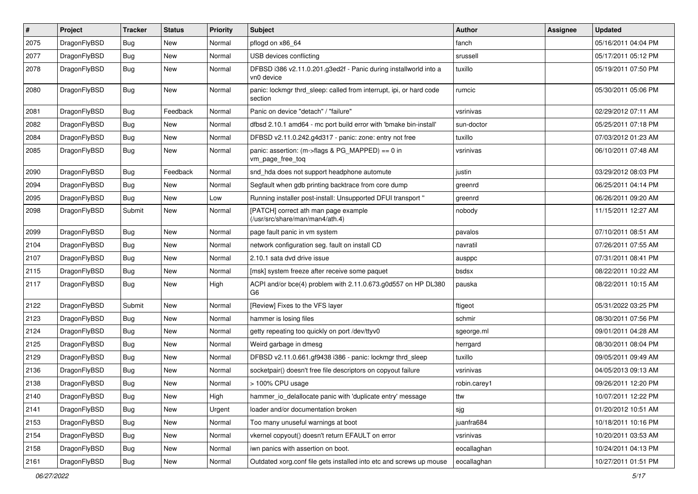| $\#$ | Project      | <b>Tracker</b> | <b>Status</b> | <b>Priority</b> | Subject                                                                         | <b>Author</b> | Assignee | <b>Updated</b>      |
|------|--------------|----------------|---------------|-----------------|---------------------------------------------------------------------------------|---------------|----------|---------------------|
| 2075 | DragonFlyBSD | Bug            | <b>New</b>    | Normal          | pflogd on x86_64                                                                | fanch         |          | 05/16/2011 04:04 PM |
| 2077 | DragonFlyBSD | Bug            | New           | Normal          | USB devices conflicting                                                         | srussell      |          | 05/17/2011 05:12 PM |
| 2078 | DragonFlyBSD | Bug            | New           | Normal          | DFBSD i386 v2.11.0.201.g3ed2f - Panic during installworld into a<br>vn0 device  | tuxillo       |          | 05/19/2011 07:50 PM |
| 2080 | DragonFlyBSD | Bug            | <b>New</b>    | Normal          | panic: lockmgr thrd_sleep: called from interrupt, ipi, or hard code<br>section  | rumcic        |          | 05/30/2011 05:06 PM |
| 2081 | DragonFlyBSD | Bug            | Feedback      | Normal          | Panic on device "detach" / "failure"                                            | vsrinivas     |          | 02/29/2012 07:11 AM |
| 2082 | DragonFlyBSD | <b>Bug</b>     | New           | Normal          | dfbsd 2.10.1 amd64 - mc port build error with 'bmake bin-install'               | sun-doctor    |          | 05/25/2011 07:18 PM |
| 2084 | DragonFlyBSD | Bug            | New           | Normal          | DFBSD v2.11.0.242.g4d317 - panic: zone: entry not free                          | tuxillo       |          | 07/03/2012 01:23 AM |
| 2085 | DragonFlyBSD | Bug            | <b>New</b>    | Normal          | panic: assertion: (m->flags & PG_MAPPED) == 0 in<br>vm_page_free_toq            | vsrinivas     |          | 06/10/2011 07:48 AM |
| 2090 | DragonFlyBSD | Bug            | Feedback      | Normal          | snd_hda does not support headphone automute                                     | justin        |          | 03/29/2012 08:03 PM |
| 2094 | DragonFlyBSD | Bug            | <b>New</b>    | Normal          | Segfault when gdb printing backtrace from core dump                             | greenrd       |          | 06/25/2011 04:14 PM |
| 2095 | DragonFlyBSD | Bug            | New           | Low             | Running installer post-install: Unsupported DFUI transport "                    | greenrd       |          | 06/26/2011 09:20 AM |
| 2098 | DragonFlyBSD | Submit         | New           | Normal          | [PATCH] correct ath man page example<br>(/usr/src/share/man/man4/ath.4)         | nobody        |          | 11/15/2011 12:27 AM |
| 2099 | DragonFlyBSD | Bug            | <b>New</b>    | Normal          | page fault panic in vm system                                                   | pavalos       |          | 07/10/2011 08:51 AM |
| 2104 | DragonFlyBSD | Bug            | New           | Normal          | network configuration seg. fault on install CD                                  | navratil      |          | 07/26/2011 07:55 AM |
| 2107 | DragonFlyBSD | <b>Bug</b>     | New           | Normal          | 2.10.1 sata dvd drive issue                                                     | ausppc        |          | 07/31/2011 08:41 PM |
| 2115 | DragonFlyBSD | Bug            | New           | Normal          | [msk] system freeze after receive some paquet                                   | bsdsx         |          | 08/22/2011 10:22 AM |
| 2117 | DragonFlyBSD | Bug            | New           | High            | ACPI and/or bce(4) problem with 2.11.0.673.g0d557 on HP DL380<br>G <sub>6</sub> | pauska        |          | 08/22/2011 10:15 AM |
| 2122 | DragonFlyBSD | Submit         | New           | Normal          | [Review] Fixes to the VFS layer                                                 | ftigeot       |          | 05/31/2022 03:25 PM |
| 2123 | DragonFlyBSD | Bug            | New           | Normal          | hammer is losing files                                                          | schmir        |          | 08/30/2011 07:56 PM |
| 2124 | DragonFlyBSD | Bug            | New           | Normal          | getty repeating too quickly on port /dev/ttyv0                                  | sgeorge.ml    |          | 09/01/2011 04:28 AM |
| 2125 | DragonFlyBSD | Bug            | <b>New</b>    | Normal          | Weird garbage in dmesg                                                          | herrgard      |          | 08/30/2011 08:04 PM |
| 2129 | DragonFlyBSD | Bug            | New           | Normal          | DFBSD v2.11.0.661.gf9438 i386 - panic: lockmgr thrd sleep                       | tuxillo       |          | 09/05/2011 09:49 AM |
| 2136 | DragonFlyBSD | Bug            | <b>New</b>    | Normal          | socketpair() doesn't free file descriptors on copyout failure                   | vsrinivas     |          | 04/05/2013 09:13 AM |
| 2138 | DragonFlyBSD | Bug            | New           | Normal          | > 100% CPU usage                                                                | robin.carey1  |          | 09/26/2011 12:20 PM |
| 2140 | DragonFlyBSD | <b>Bug</b>     | New           | High            | hammer_io_delallocate panic with 'duplicate entry' message                      | ttw           |          | 10/07/2011 12:22 PM |
| 2141 | DragonFlyBSD | Bug            | New           | Urgent          | loader and/or documentation broken                                              | sjg           |          | 01/20/2012 10:51 AM |
| 2153 | DragonFlyBSD | <b>Bug</b>     | New           | Normal          | Too many unuseful warnings at boot                                              | juanfra684    |          | 10/18/2011 10:16 PM |
| 2154 | DragonFlyBSD | Bug            | New           | Normal          | vkernel copyout() doesn't return EFAULT on error                                | vsrinivas     |          | 10/20/2011 03:53 AM |
| 2158 | DragonFlyBSD | <b>Bug</b>     | New           | Normal          | iwn panics with assertion on boot.                                              | eocallaghan   |          | 10/24/2011 04:13 PM |
| 2161 | DragonFlyBSD | <b>Bug</b>     | New           | Normal          | Outdated xorg.conf file gets installed into etc and screws up mouse             | eocallaghan   |          | 10/27/2011 01:51 PM |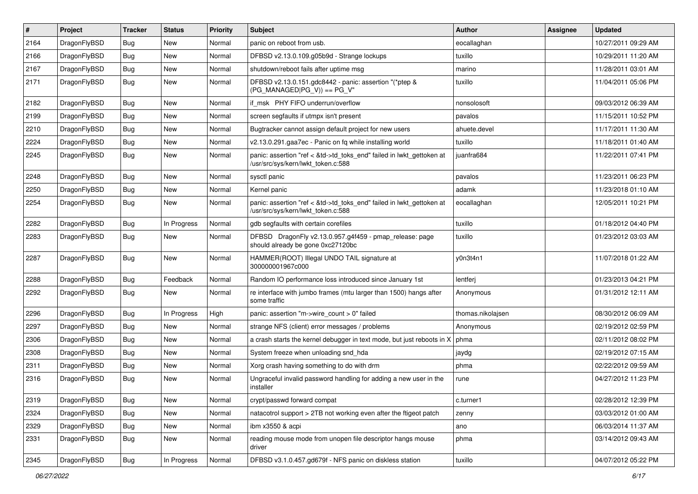| $\vert$ # | Project      | <b>Tracker</b> | <b>Status</b> | <b>Priority</b> | <b>Subject</b>                                                                                             | <b>Author</b>     | <b>Assignee</b> | <b>Updated</b>      |
|-----------|--------------|----------------|---------------|-----------------|------------------------------------------------------------------------------------------------------------|-------------------|-----------------|---------------------|
| 2164      | DragonFlyBSD | Bug            | <b>New</b>    | Normal          | panic on reboot from usb.                                                                                  | eocallaghan       |                 | 10/27/2011 09:29 AM |
| 2166      | DragonFlyBSD | <b>Bug</b>     | <b>New</b>    | Normal          | DFBSD v2.13.0.109.g05b9d - Strange lockups                                                                 | tuxillo           |                 | 10/29/2011 11:20 AM |
| 2167      | DragonFlyBSD | <b>Bug</b>     | <b>New</b>    | Normal          | shutdown/reboot fails after uptime msg                                                                     | marino            |                 | 11/28/2011 03:01 AM |
| 2171      | DragonFlyBSD | Bug            | New           | Normal          | DFBSD v2.13.0.151.gdc8442 - panic: assertion "(*ptep &<br>$(PG$ MANAGED PG V)) == PG V"                    | tuxillo           |                 | 11/04/2011 05:06 PM |
| 2182      | DragonFlyBSD | <b>Bug</b>     | New           | Normal          | if msk PHY FIFO underrun/overflow                                                                          | nonsolosoft       |                 | 09/03/2012 06:39 AM |
| 2199      | DragonFlyBSD | Bug            | <b>New</b>    | Normal          | screen segfaults if utmpx isn't present                                                                    | pavalos           |                 | 11/15/2011 10:52 PM |
| 2210      | DragonFlyBSD | <b>Bug</b>     | <b>New</b>    | Normal          | Bugtracker cannot assign default project for new users                                                     | ahuete.devel      |                 | 11/17/2011 11:30 AM |
| 2224      | DragonFlyBSD | <b>Bug</b>     | <b>New</b>    | Normal          | v2.13.0.291.gaa7ec - Panic on fq while installing world                                                    | tuxillo           |                 | 11/18/2011 01:40 AM |
| 2245      | DragonFlyBSD | Bug            | <b>New</b>    | Normal          | panic: assertion "ref < &td->td_toks_end" failed in lwkt_gettoken at<br>/usr/src/sys/kern/lwkt_token.c:588 | juanfra684        |                 | 11/22/2011 07:41 PM |
| 2248      | DragonFlyBSD | Bug            | <b>New</b>    | Normal          | sysctl panic                                                                                               | pavalos           |                 | 11/23/2011 06:23 PM |
| 2250      | DragonFlyBSD | <b>Bug</b>     | <b>New</b>    | Normal          | Kernel panic                                                                                               | adamk             |                 | 11/23/2018 01:10 AM |
| 2254      | DragonFlyBSD | Bug            | New           | Normal          | panic: assertion "ref < &td->td_toks_end" failed in lwkt_gettoken at<br>/usr/src/sys/kern/lwkt_token.c:588 | eocallaghan       |                 | 12/05/2011 10:21 PM |
| 2282      | DragonFlyBSD | <b>Bug</b>     | In Progress   | Normal          | gdb segfaults with certain corefiles                                                                       | tuxillo           |                 | 01/18/2012 04:40 PM |
| 2283      | DragonFlyBSD | Bug            | <b>New</b>    | Normal          | DFBSD DragonFly v2.13.0.957.g4f459 - pmap_release: page<br>should already be gone 0xc27120bc               | tuxillo           |                 | 01/23/2012 03:03 AM |
| 2287      | DragonFlyBSD | <b>Bug</b>     | <b>New</b>    | Normal          | HAMMER(ROOT) Illegal UNDO TAIL signature at<br>300000001967c000                                            | y0n3t4n1          |                 | 11/07/2018 01:22 AM |
| 2288      | DragonFlyBSD | <b>Bug</b>     | Feedback      | Normal          | Random IO performance loss introduced since January 1st                                                    | lentferj          |                 | 01/23/2013 04:21 PM |
| 2292      | DragonFlyBSD | <b>Bug</b>     | New           | Normal          | re interface with jumbo frames (mtu larger than 1500) hangs after<br>some traffic                          | Anonymous         |                 | 01/31/2012 12:11 AM |
| 2296      | DragonFlyBSD | <b>Bug</b>     | In Progress   | High            | panic: assertion "m->wire count > 0" failed                                                                | thomas.nikolajsen |                 | 08/30/2012 06:09 AM |
| 2297      | DragonFlyBSD | Bug            | <b>New</b>    | Normal          | strange NFS (client) error messages / problems                                                             | Anonymous         |                 | 02/19/2012 02:59 PM |
| 2306      | DragonFlyBSD | <b>Bug</b>     | <b>New</b>    | Normal          | a crash starts the kernel debugger in text mode, but just reboots in X                                     | phma              |                 | 02/11/2012 08:02 PM |
| 2308      | DragonFlyBSD | <b>Bug</b>     | <b>New</b>    | Normal          | System freeze when unloading snd_hda                                                                       | jaydg             |                 | 02/19/2012 07:15 AM |
| 2311      | DragonFlyBSD | Bug            | <b>New</b>    | Normal          | Xorg crash having something to do with drm                                                                 | phma              |                 | 02/22/2012 09:59 AM |
| 2316      | DragonFlyBSD | <b>Bug</b>     | <b>New</b>    | Normal          | Ungraceful invalid password handling for adding a new user in the<br>installer                             | rune              |                 | 04/27/2012 11:23 PM |
| 2319      | DragonFlyBSD | <b>Bug</b>     | New           | Normal          | crypt/passwd forward compat                                                                                | c.turner1         |                 | 02/28/2012 12:39 PM |
| 2324      | DragonFlyBSD | <b>Bug</b>     | New           | Normal          | natacotrol support > 2TB not working even after the ftigeot patch                                          | zenny             |                 | 03/03/2012 01:00 AM |
| 2329      | DragonFlyBSD | <b>Bug</b>     | New           | Normal          | ibm x3550 & acpi                                                                                           | ano               |                 | 06/03/2014 11:37 AM |
| 2331      | DragonFlyBSD | Bug            | New           | Normal          | reading mouse mode from unopen file descriptor hangs mouse<br>driver                                       | phma              |                 | 03/14/2012 09:43 AM |
| 2345      | DragonFlyBSD | <b>Bug</b>     | In Progress   | Normal          | DFBSD v3.1.0.457.gd679f - NFS panic on diskless station                                                    | tuxillo           |                 | 04/07/2012 05:22 PM |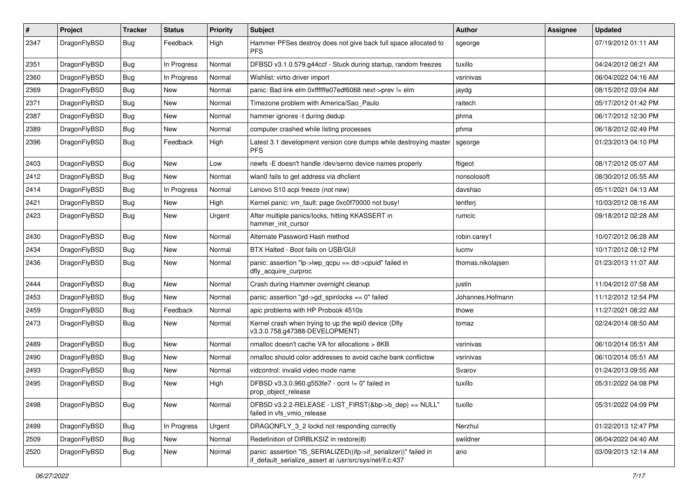| $\pmb{\#}$ | Project      | <b>Tracker</b> | <b>Status</b> | <b>Priority</b> | Subject                                                                                                                      | Author            | Assignee | <b>Updated</b>      |
|------------|--------------|----------------|---------------|-----------------|------------------------------------------------------------------------------------------------------------------------------|-------------------|----------|---------------------|
| 2347       | DragonFlyBSD | Bug            | Feedback      | High            | Hammer PFSes destroy does not give back full space allocated to<br><b>PFS</b>                                                | sgeorge           |          | 07/19/2012 01:11 AM |
| 2351       | DragonFlyBSD | <b>Bug</b>     | In Progress   | Normal          | DFBSD v3.1.0.579.g44ccf - Stuck during startup, random freezes                                                               | tuxillo           |          | 04/24/2012 08:21 AM |
| 2360       | DragonFlyBSD | Bug            | In Progress   | Normal          | Wishlist: virtio driver import                                                                                               | vsrinivas         |          | 06/04/2022 04:16 AM |
| 2369       | DragonFlyBSD | Bug            | <b>New</b>    | Normal          | panic: Bad link elm 0xffffffe07edf6068 next->prev != elm                                                                     | jaydg             |          | 08/15/2012 03:04 AM |
| 2371       | DragonFlyBSD | <b>Bug</b>     | New           | Normal          | Timezone problem with America/Sao Paulo                                                                                      | raitech           |          | 05/17/2012 01:42 PM |
| 2387       | DragonFlyBSD | Bug            | <b>New</b>    | Normal          | hammer ignores -t during dedup                                                                                               | phma              |          | 06/17/2012 12:30 PM |
| 2389       | DragonFlyBSD | Bug            | New           | Normal          | computer crashed while listing processes                                                                                     | phma              |          | 06/18/2012 02:49 PM |
| 2396       | DragonFlyBSD | Bug            | Feedback      | High            | Latest 3.1 development version core dumps while destroying master<br><b>PFS</b>                                              | sgeorge           |          | 01/23/2013 04:10 PM |
| 2403       | DragonFlyBSD | <b>Bug</b>     | <b>New</b>    | Low             | newfs -E doesn't handle /dev/serno device names properly                                                                     | ftigeot           |          | 08/17/2012 05:07 AM |
| 2412       | DragonFlyBSD | Bug            | <b>New</b>    | Normal          | wlan0 fails to get address via dhclient                                                                                      | nonsolosoft       |          | 08/30/2012 05:55 AM |
| 2414       | DragonFlyBSD | <b>Bug</b>     | In Progress   | Normal          | Lenovo S10 acpi freeze (not new)                                                                                             | davshao           |          | 05/11/2021 04:13 AM |
| 2421       | DragonFlyBSD | Bug            | New           | High            | Kernel panic: vm_fault: page 0xc0f70000 not busy!                                                                            | lentferj          |          | 10/03/2012 08:16 AM |
| 2423       | DragonFlyBSD | Bug            | New           | Urgent          | After multiple panics/locks, hitting KKASSERT in<br>hammer_init_cursor                                                       | rumcic            |          | 09/18/2012 02:28 AM |
| 2430       | DragonFlyBSD | Bug            | <b>New</b>    | Normal          | Alternate Password Hash method                                                                                               | robin.carey1      |          | 10/07/2012 06:28 AM |
| 2434       | DragonFlyBSD | Bug            | <b>New</b>    | Normal          | BTX Halted - Boot fails on USB/GUI                                                                                           | lucmv             |          | 10/17/2012 08:12 PM |
| 2436       | DragonFlyBSD | Bug            | New           | Normal          | panic: assertion "lp->lwp_qcpu == dd->cpuid" failed in<br>dfly_acquire_curproc                                               | thomas.nikolajsen |          | 01/23/2013 11:07 AM |
| 2444       | DragonFlyBSD | <b>Bug</b>     | New           | Normal          | Crash during Hammer overnight cleanup                                                                                        | justin            |          | 11/04/2012 07:58 AM |
| 2453       | DragonFlyBSD | Bug            | New           | Normal          | panic: assertion "gd->gd_spinlocks == 0" failed                                                                              | Johannes.Hofmann  |          | 11/12/2012 12:54 PM |
| 2459       | DragonFlyBSD | Bug            | Feedback      | Normal          | apic problems with HP Probook 4510s                                                                                          | thowe             |          | 11/27/2021 08:22 AM |
| 2473       | DragonFlyBSD | Bug            | New           | Normal          | Kernel crash when trying to up the wpi0 device (Dfly<br>v3.3.0.758.g47388-DEVELOPMENT)                                       | tomaz             |          | 02/24/2014 08:50 AM |
| 2489       | DragonFlyBSD | Bug            | <b>New</b>    | Normal          | nmalloc doesn't cache VA for allocations > 8KB                                                                               | vsrinivas         |          | 06/10/2014 05:51 AM |
| 2490       | DragonFlyBSD | Bug            | New           | Normal          | nmalloc should color addresses to avoid cache bank conflictsw                                                                | vsrinivas         |          | 06/10/2014 05:51 AM |
| 2493       | DragonFlyBSD | Bug            | New           | Normal          | vidcontrol: invalid video mode name                                                                                          | Svarov            |          | 01/24/2013 09:55 AM |
| 2495       | DragonFlyBSD | Bug            | New           | High            | DFBSD v3.3.0.960.g553fe7 - ocnt != 0" failed in<br>prop_object_release                                                       | tuxillo           |          | 05/31/2022 04:08 PM |
| 2498       | DragonFlyBSD | Bug            | New           | Normal          | DFBSD v3.2.2-RELEASE - LIST_FIRST(&bp->b_dep) == NULL"<br>failed in vfs vmio release                                         | tuxillo           |          | 05/31/2022 04:09 PM |
| 2499       | DragonFlyBSD | Bug            | In Progress   | Urgent          | DRAGONFLY_3_2 lockd not responding correctly                                                                                 | Nerzhul           |          | 01/22/2013 12:47 PM |
| 2509       | DragonFlyBSD | Bug            | New           | Normal          | Redefinition of DIRBLKSIZ in restore(8)                                                                                      | swildner          |          | 06/04/2022 04:40 AM |
| 2520       | DragonFlyBSD | Bug            | New           | Normal          | panic: assertion "IS_SERIALIZED((ifp->if_serializer))" failed in<br>if default serialize assert at /usr/src/sys/net/if.c:437 | ano               |          | 03/09/2013 12:14 AM |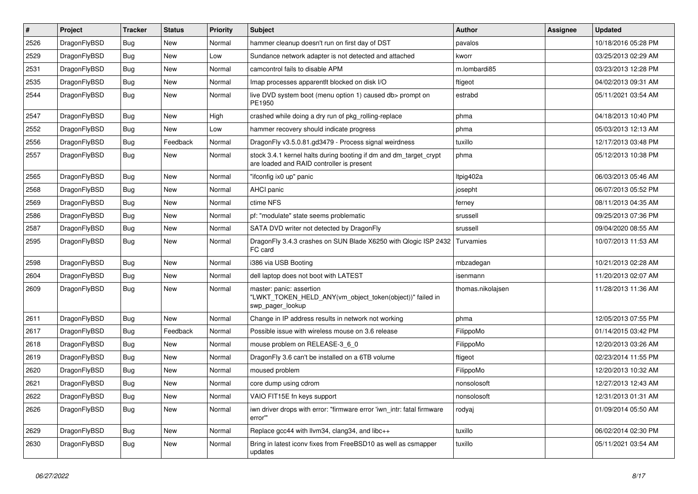| $\sharp$ | Project      | <b>Tracker</b> | <b>Status</b> | <b>Priority</b> | Subject                                                                                                        | Author            | Assignee | <b>Updated</b>      |
|----------|--------------|----------------|---------------|-----------------|----------------------------------------------------------------------------------------------------------------|-------------------|----------|---------------------|
| 2526     | DragonFlyBSD | <b>Bug</b>     | <b>New</b>    | Normal          | hammer cleanup doesn't run on first day of DST                                                                 | pavalos           |          | 10/18/2016 05:28 PM |
| 2529     | DragonFlyBSD | <b>Bug</b>     | <b>New</b>    | Low             | Sundance network adapter is not detected and attached                                                          | kworr             |          | 03/25/2013 02:29 AM |
| 2531     | DragonFlyBSD | <b>Bug</b>     | New           | Normal          | camcontrol fails to disable APM                                                                                | m.lombardi85      |          | 03/23/2013 12:28 PM |
| 2535     | DragonFlyBSD | <b>Bug</b>     | New           | Normal          | Imap processes apparentlt blocked on disk I/O                                                                  | ftigeot           |          | 04/02/2013 09:31 AM |
| 2544     | DragonFlyBSD | Bug            | <b>New</b>    | Normal          | live DVD system boot (menu option 1) caused db> prompt on<br>PE1950                                            | estrabd           |          | 05/11/2021 03:54 AM |
| 2547     | DragonFlyBSD | Bug            | New           | High            | crashed while doing a dry run of pkg_rolling-replace                                                           | phma              |          | 04/18/2013 10:40 PM |
| 2552     | DragonFlyBSD | <b>Bug</b>     | New           | Low             | hammer recovery should indicate progress                                                                       | phma              |          | 05/03/2013 12:13 AM |
| 2556     | DragonFlyBSD | <b>Bug</b>     | Feedback      | Normal          | DragonFly v3.5.0.81.gd3479 - Process signal weirdness                                                          | tuxillo           |          | 12/17/2013 03:48 PM |
| 2557     | DragonFlyBSD | Bug            | New           | Normal          | stock 3.4.1 kernel halts during booting if dm and dm_target_crypt<br>are loaded and RAID controller is present | phma              |          | 05/12/2013 10:38 PM |
| 2565     | DragonFlyBSD | Bug            | <b>New</b>    | Normal          | "ifconfig ix0 up" panic                                                                                        | ltpig402a         |          | 06/03/2013 05:46 AM |
| 2568     | DragonFlyBSD | <b>Bug</b>     | New           | Normal          | AHCI panic                                                                                                     | josepht           |          | 06/07/2013 05:52 PM |
| 2569     | DragonFlyBSD | <b>Bug</b>     | New           | Normal          | ctime NFS                                                                                                      | ferney            |          | 08/11/2013 04:35 AM |
| 2586     | DragonFlyBSD | Bug            | <b>New</b>    | Normal          | pf: "modulate" state seems problematic                                                                         | srussell          |          | 09/25/2013 07:36 PM |
| 2587     | DragonFlyBSD | <b>Bug</b>     | <b>New</b>    | Normal          | SATA DVD writer not detected by DragonFly                                                                      | srussell          |          | 09/04/2020 08:55 AM |
| 2595     | DragonFlyBSD | <b>Bug</b>     | <b>New</b>    | Normal          | DragonFly 3.4.3 crashes on SUN Blade X6250 with Qlogic ISP 2432<br>FC card                                     | Turvamies         |          | 10/07/2013 11:53 AM |
| 2598     | DragonFlyBSD | Bug            | New           | Normal          | i386 via USB Booting                                                                                           | mbzadegan         |          | 10/21/2013 02:28 AM |
| 2604     | DragonFlyBSD | <b>Bug</b>     | <b>New</b>    | Normal          | dell laptop does not boot with LATEST                                                                          | isenmann          |          | 11/20/2013 02:07 AM |
| 2609     | DragonFlyBSD | <b>Bug</b>     | New           | Normal          | master: panic: assertion<br>"LWKT_TOKEN_HELD_ANY(vm_object_token(object))" failed in<br>swp_pager_lookup       | thomas.nikolajsen |          | 11/28/2013 11:36 AM |
| 2611     | DragonFlyBSD | Bug            | <b>New</b>    | Normal          | Change in IP address results in network not working                                                            | phma              |          | 12/05/2013 07:55 PM |
| 2617     | DragonFlyBSD | <b>Bug</b>     | Feedback      | Normal          | Possible issue with wireless mouse on 3.6 release                                                              | FilippoMo         |          | 01/14/2015 03:42 PM |
| 2618     | DragonFlyBSD | Bug            | <b>New</b>    | Normal          | mouse problem on RELEASE-3 6 0                                                                                 | FilippoMo         |          | 12/20/2013 03:26 AM |
| 2619     | DragonFlyBSD | <b>Bug</b>     | New           | Normal          | Dragon Fly 3.6 can't be installed on a 6TB volume                                                              | ftigeot           |          | 02/23/2014 11:55 PM |
| 2620     | DragonFlyBSD | <b>Bug</b>     | New           | Normal          | moused problem                                                                                                 | FilippoMo         |          | 12/20/2013 10:32 AM |
| 2621     | DragonFlyBSD | <b>Bug</b>     | <b>New</b>    | Normal          | core dump using cdrom                                                                                          | nonsolosoft       |          | 12/27/2013 12:43 AM |
| 2622     | DragonFlyBSD | <b>Bug</b>     | New           | Normal          | VAIO FIT15E fn keys support                                                                                    | nonsolosoft       |          | 12/31/2013 01:31 AM |
| 2626     | DragonFlyBSD | <b>Bug</b>     | New           | Normal          | iwn driver drops with error: "firmware error 'iwn_intr: fatal firmware<br>error""                              | rodyaj            |          | 01/09/2014 05:50 AM |
| 2629     | DragonFlyBSD | <b>Bug</b>     | New           | Normal          | Replace gcc44 with llvm34, clang34, and libc++                                                                 | tuxillo           |          | 06/02/2014 02:30 PM |
| 2630     | DragonFlyBSD | <b>Bug</b>     | New           | Normal          | Bring in latest iconv fixes from FreeBSD10 as well as csmapper<br>updates                                      | tuxillo           |          | 05/11/2021 03:54 AM |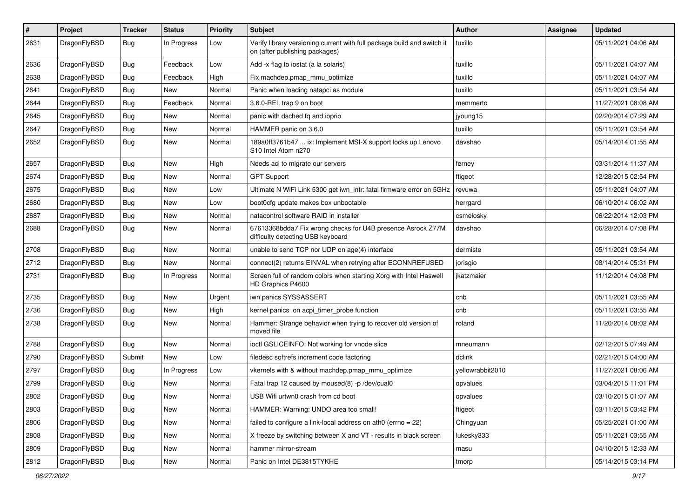| $\pmb{\#}$ | Project      | <b>Tracker</b> | <b>Status</b> | <b>Priority</b> | Subject                                                                                                   | Author           | Assignee | <b>Updated</b>      |
|------------|--------------|----------------|---------------|-----------------|-----------------------------------------------------------------------------------------------------------|------------------|----------|---------------------|
| 2631       | DragonFlyBSD | Bug            | In Progress   | Low             | Verify library versioning current with full package build and switch it<br>on (after publishing packages) | tuxillo          |          | 05/11/2021 04:06 AM |
| 2636       | DragonFlyBSD | <b>Bug</b>     | Feedback      | Low             | Add -x flag to iostat (a la solaris)                                                                      | tuxillo          |          | 05/11/2021 04:07 AM |
| 2638       | DragonFlyBSD | Bug            | Feedback      | High            | Fix machdep.pmap mmu optimize                                                                             | tuxillo          |          | 05/11/2021 04:07 AM |
| 2641       | DragonFlyBSD | Bug            | <b>New</b>    | Normal          | Panic when loading natapci as module                                                                      | tuxillo          |          | 05/11/2021 03:54 AM |
| 2644       | DragonFlyBSD | <b>Bug</b>     | Feedback      | Normal          | 3.6.0-REL trap 9 on boot                                                                                  | memmerto         |          | 11/27/2021 08:08 AM |
| 2645       | DragonFlyBSD | Bug            | <b>New</b>    | Normal          | panic with dsched fq and ioprio                                                                           | jyoung15         |          | 02/20/2014 07:29 AM |
| 2647       | DragonFlyBSD | Bug            | New           | Normal          | HAMMER panic on 3.6.0                                                                                     | tuxillo          |          | 05/11/2021 03:54 AM |
| 2652       | DragonFlyBSD | Bug            | New           | Normal          | 189a0ff3761b47  ix: Implement MSI-X support locks up Lenovo<br>S10 Intel Atom n270                        | davshao          |          | 05/14/2014 01:55 AM |
| 2657       | DragonFlyBSD | <b>Bug</b>     | <b>New</b>    | High            | Needs acl to migrate our servers                                                                          | ferney           |          | 03/31/2014 11:37 AM |
| 2674       | DragonFlyBSD | Bug            | New           | Normal          | <b>GPT Support</b>                                                                                        | ftigeot          |          | 12/28/2015 02:54 PM |
| 2675       | DragonFlyBSD | <b>Bug</b>     | <b>New</b>    | Low             | Ultimate N WiFi Link 5300 get iwn_intr: fatal firmware error on 5GHz                                      | revuwa           |          | 05/11/2021 04:07 AM |
| 2680       | DragonFlyBSD | <b>Bug</b>     | <b>New</b>    | Low             | boot0cfg update makes box unbootable                                                                      | herrgard         |          | 06/10/2014 06:02 AM |
| 2687       | DragonFlyBSD | Bug            | New           | Normal          | natacontrol software RAID in installer                                                                    | csmelosky        |          | 06/22/2014 12:03 PM |
| 2688       | DragonFlyBSD | Bug            | New           | Normal          | 67613368bdda7 Fix wrong checks for U4B presence Asrock Z77M<br>difficulty detecting USB keyboard          | davshao          |          | 06/28/2014 07:08 PM |
| 2708       | DragonFlyBSD | Bug            | <b>New</b>    | Normal          | unable to send TCP nor UDP on age(4) interface                                                            | dermiste         |          | 05/11/2021 03:54 AM |
| 2712       | DragonFlyBSD | <b>Bug</b>     | New           | Normal          | connect(2) returns EINVAL when retrying after ECONNREFUSED                                                | jorisgio         |          | 08/14/2014 05:31 PM |
| 2731       | DragonFlyBSD | Bug            | In Progress   | Normal          | Screen full of random colors when starting Xorg with Intel Haswell<br>HD Graphics P4600                   | jkatzmaier       |          | 11/12/2014 04:08 PM |
| 2735       | DragonFlyBSD | <b>Bug</b>     | New           | Urgent          | iwn panics SYSSASSERT                                                                                     | cnb              |          | 05/11/2021 03:55 AM |
| 2736       | DragonFlyBSD | Bug            | New           | High            | kernel panics on acpi_timer_probe function                                                                | cnb              |          | 05/11/2021 03:55 AM |
| 2738       | DragonFlyBSD | Bug            | New           | Normal          | Hammer: Strange behavior when trying to recover old version of<br>moved file                              | roland           |          | 11/20/2014 08:02 AM |
| 2788       | DragonFlyBSD | Bug            | <b>New</b>    | Normal          | ioctl GSLICEINFO: Not working for vnode slice                                                             | mneumann         |          | 02/12/2015 07:49 AM |
| 2790       | DragonFlyBSD | Submit         | New           | Low             | filedesc softrefs increment code factoring                                                                | dclink           |          | 02/21/2015 04:00 AM |
| 2797       | DragonFlyBSD | Bug            | In Progress   | Low             | vkernels with & without machdep.pmap_mmu_optimize                                                         | yellowrabbit2010 |          | 11/27/2021 08:06 AM |
| 2799       | DragonFlyBSD | Bug            | New           | Normal          | Fatal trap 12 caused by moused(8) -p /dev/cual0                                                           | opvalues         |          | 03/04/2015 11:01 PM |
| 2802       | DragonFlyBSD | <b>Bug</b>     | New           | Normal          | USB Wifi urtwn0 crash from cd boot                                                                        | opvalues         |          | 03/10/2015 01:07 AM |
| 2803       | DragonFlyBSD | <b>Bug</b>     | New           | Normal          | HAMMER: Warning: UNDO area too small!                                                                     | ftigeot          |          | 03/11/2015 03:42 PM |
| 2806       | DragonFlyBSD | <b>Bug</b>     | New           | Normal          | failed to configure a link-local address on ath0 (errno $= 22$ )                                          | Chingyuan        |          | 05/25/2021 01:00 AM |
| 2808       | DragonFlyBSD | Bug            | New           | Normal          | X freeze by switching between X and VT - results in black screen                                          | lukesky333       |          | 05/11/2021 03:55 AM |
| 2809       | DragonFlyBSD | <b>Bug</b>     | New           | Normal          | hammer mirror-stream                                                                                      | masu             |          | 04/10/2015 12:33 AM |
| 2812       | DragonFlyBSD | Bug            | New           | Normal          | Panic on Intel DE3815TYKHE                                                                                | tmorp            |          | 05/14/2015 03:14 PM |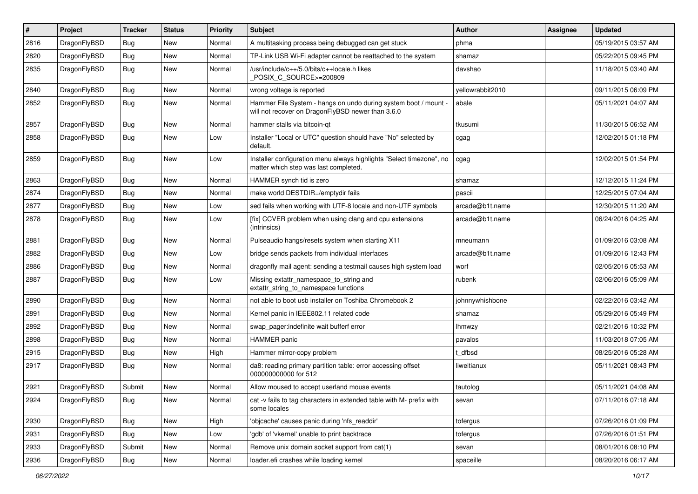| #    | Project      | <b>Tracker</b> | <b>Status</b> | <b>Priority</b> | Subject                                                                                                              | <b>Author</b>    | Assignee | <b>Updated</b>      |
|------|--------------|----------------|---------------|-----------------|----------------------------------------------------------------------------------------------------------------------|------------------|----------|---------------------|
| 2816 | DragonFlyBSD | <b>Bug</b>     | New           | Normal          | A multitasking process being debugged can get stuck                                                                  | phma             |          | 05/19/2015 03:57 AM |
| 2820 | DragonFlyBSD | Bug            | New           | Normal          | TP-Link USB Wi-Fi adapter cannot be reattached to the system                                                         | shamaz           |          | 05/22/2015 09:45 PM |
| 2835 | DragonFlyBSD | <b>Bug</b>     | <b>New</b>    | Normal          | /usr/include/c++/5.0/bits/c++locale.h likes<br>POSIX_C_SOURCE>=200809                                                | davshao          |          | 11/18/2015 03:40 AM |
| 2840 | DragonFlyBSD | Bug            | <b>New</b>    | Normal          | wrong voltage is reported                                                                                            | yellowrabbit2010 |          | 09/11/2015 06:09 PM |
| 2852 | DragonFlyBSD | <b>Bug</b>     | New           | Normal          | Hammer File System - hangs on undo during system boot / mount -<br>will not recover on DragonFlyBSD newer than 3.6.0 | abale            |          | 05/11/2021 04:07 AM |
| 2857 | DragonFlyBSD | Bug            | New           | Normal          | hammer stalls via bitcoin-qt                                                                                         | tkusumi          |          | 11/30/2015 06:52 AM |
| 2858 | DragonFlyBSD | <b>Bug</b>     | <b>New</b>    | Low             | Installer "Local or UTC" question should have "No" selected by<br>default.                                           | cgag             |          | 12/02/2015 01:18 PM |
| 2859 | DragonFlyBSD | Bug            | <b>New</b>    | Low             | Installer configuration menu always highlights "Select timezone", no<br>matter which step was last completed.        | cgag             |          | 12/02/2015 01:54 PM |
| 2863 | DragonFlyBSD | Bug            | <b>New</b>    | Normal          | HAMMER synch tid is zero                                                                                             | shamaz           |          | 12/12/2015 11:24 PM |
| 2874 | DragonFlyBSD | <b>Bug</b>     | New           | Normal          | make world DESTDIR=/emptydir fails                                                                                   | pascii           |          | 12/25/2015 07:04 AM |
| 2877 | DragonFlyBSD | Bug            | New           | Low             | sed fails when working with UTF-8 locale and non-UTF symbols                                                         | arcade@b1t.name  |          | 12/30/2015 11:20 AM |
| 2878 | DragonFlyBSD | Bug            | New           | Low             | [fix] CCVER problem when using clang and cpu extensions<br>(intrinsics)                                              | arcade@b1t.name  |          | 06/24/2016 04:25 AM |
| 2881 | DragonFlyBSD | Bug            | <b>New</b>    | Normal          | Pulseaudio hangs/resets system when starting X11                                                                     | mneumann         |          | 01/09/2016 03:08 AM |
| 2882 | DragonFlyBSD | <b>Bug</b>     | New           | Low             | bridge sends packets from individual interfaces                                                                      | arcade@b1t.name  |          | 01/09/2016 12:43 PM |
| 2886 | DragonFlyBSD | <b>Bug</b>     | New           | Normal          | dragonfly mail agent: sending a testmail causes high system load                                                     | worf             |          | 02/05/2016 05:53 AM |
| 2887 | DragonFlyBSD | Bug            | New           | Low             | Missing extattr_namespace_to_string and<br>extattr string to namespace functions                                     | rubenk           |          | 02/06/2016 05:09 AM |
| 2890 | DragonFlyBSD | Bug            | <b>New</b>    | Normal          | not able to boot usb installer on Toshiba Chromebook 2                                                               | johnnywhishbone  |          | 02/22/2016 03:42 AM |
| 2891 | DragonFlyBSD | <b>Bug</b>     | New           | Normal          | Kernel panic in IEEE802.11 related code                                                                              | shamaz           |          | 05/29/2016 05:49 PM |
| 2892 | DragonFlyBSD | <b>Bug</b>     | <b>New</b>    | Normal          | swap_pager:indefinite wait bufferf error                                                                             | lhmwzy           |          | 02/21/2016 10:32 PM |
| 2898 | DragonFlyBSD | Bug            | New           | Normal          | <b>HAMMER</b> panic                                                                                                  | pavalos          |          | 11/03/2018 07:05 AM |
| 2915 | DragonFlyBSD | <b>Bug</b>     | <b>New</b>    | High            | Hammer mirror-copy problem                                                                                           | t dfbsd          |          | 08/25/2016 05:28 AM |
| 2917 | DragonFlyBSD | <b>Bug</b>     | New           | Normal          | da8: reading primary partition table: error accessing offset<br>000000000000 for 512                                 | liweitianux      |          | 05/11/2021 08:43 PM |
| 2921 | DragonFlyBSD | Submit         | <b>New</b>    | Normal          | Allow moused to accept userland mouse events                                                                         | tautolog         |          | 05/11/2021 04:08 AM |
| 2924 | DragonFlyBSD | <b>Bug</b>     | New           | Normal          | cat -v fails to tag characters in extended table with M- prefix with<br>some locales                                 | sevan            |          | 07/11/2016 07:18 AM |
| 2930 | DragonFlyBSD | <b>Bug</b>     | New           | High            | 'objcache' causes panic during 'nfs_readdir'                                                                         | tofergus         |          | 07/26/2016 01:09 PM |
| 2931 | DragonFlyBSD | Bug            | <b>New</b>    | Low             | 'gdb' of 'vkernel' unable to print backtrace                                                                         | tofergus         |          | 07/26/2016 01:51 PM |
| 2933 | DragonFlyBSD | Submit         | New           | Normal          | Remove unix domain socket support from cat(1)                                                                        | sevan            |          | 08/01/2016 08:10 PM |
| 2936 | DragonFlyBSD | <b>Bug</b>     | New           | Normal          | loader.efi crashes while loading kernel                                                                              | spaceille        |          | 08/20/2016 06:17 AM |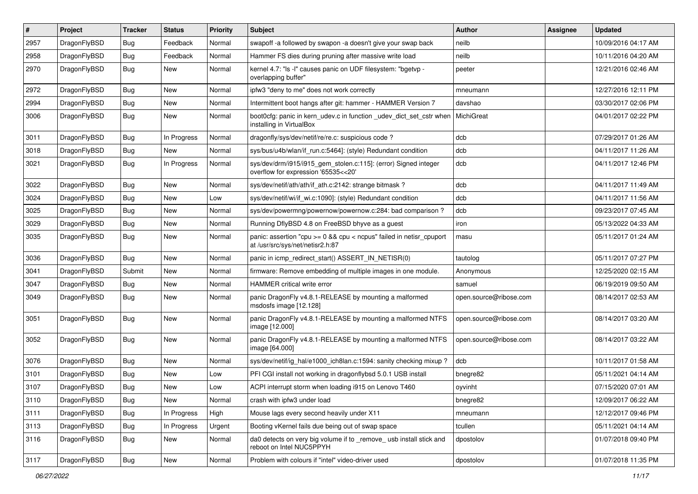| $\sharp$ | Project      | <b>Tracker</b> | <b>Status</b> | <b>Priority</b> | Subject                                                                                                 | <b>Author</b>          | Assignee | <b>Updated</b>      |
|----------|--------------|----------------|---------------|-----------------|---------------------------------------------------------------------------------------------------------|------------------------|----------|---------------------|
| 2957     | DragonFlyBSD | Bug            | Feedback      | Normal          | swapoff -a followed by swapon -a doesn't give your swap back                                            | neilb                  |          | 10/09/2016 04:17 AM |
| 2958     | DragonFlyBSD | Bug            | Feedback      | Normal          | Hammer FS dies during pruning after massive write load                                                  | neilb                  |          | 10/11/2016 04:20 AM |
| 2970     | DragonFlyBSD | <b>Bug</b>     | New           | Normal          | kernel 4.7: "Is -I" causes panic on UDF filesystem: "bgetvp -<br>overlapping buffer"                    | peeter                 |          | 12/21/2016 02:46 AM |
| 2972     | DragonFlyBSD | Bug            | <b>New</b>    | Normal          | ipfw3 "deny to me" does not work correctly                                                              | mneumann               |          | 12/27/2016 12:11 PM |
| 2994     | DragonFlyBSD | <b>Bug</b>     | New           | Normal          | Intermittent boot hangs after git: hammer - HAMMER Version 7                                            | davshao                |          | 03/30/2017 02:06 PM |
| 3006     | DragonFlyBSD | <b>Bug</b>     | <b>New</b>    | Normal          | boot0cfg: panic in kern_udev.c in function _udev_dict_set_cstr when<br>installing in VirtualBox         | MichiGreat             |          | 04/01/2017 02:22 PM |
| 3011     | DragonFlyBSD | Bug            | In Progress   | Normal          | dragonfly/sys/dev/netif/re/re.c: suspicious code ?                                                      | dcb                    |          | 07/29/2017 01:26 AM |
| 3018     | DragonFlyBSD | Bug            | New           | Normal          | sys/bus/u4b/wlan/if_run.c:5464]: (style) Redundant condition                                            | dcb                    |          | 04/11/2017 11:26 AM |
| 3021     | DragonFlyBSD | Bug            | In Progress   | Normal          | sys/dev/drm/i915/i915_gem_stolen.c:115]: (error) Signed integer<br>overflow for expression '65535<<20'  | dcb                    |          | 04/11/2017 12:46 PM |
| 3022     | DragonFlyBSD | Bug            | <b>New</b>    | Normal          | sys/dev/netif/ath/ath/if_ath.c:2142: strange bitmask?                                                   | dcb                    |          | 04/11/2017 11:49 AM |
| 3024     | DragonFlyBSD | <b>Bug</b>     | <b>New</b>    | Low             | sys/dev/netif/wi/if_wi.c:1090]: (style) Redundant condition                                             | dcb                    |          | 04/11/2017 11:56 AM |
| 3025     | DragonFlyBSD | Bug            | <b>New</b>    | Normal          | sys/dev/powermng/powernow/powernow.c:284: bad comparison ?                                              | dcb                    |          | 09/23/2017 07:45 AM |
| 3029     | DragonFlyBSD | <b>Bug</b>     | <b>New</b>    | Normal          | Running DflyBSD 4.8 on FreeBSD bhyve as a guest                                                         | iron                   |          | 05/13/2022 04:33 AM |
| 3035     | DragonFlyBSD | <b>Bug</b>     | New           | Normal          | panic: assertion "cpu >= 0 && cpu < ncpus" failed in netisr_cpuport<br>at /usr/src/sys/net/netisr2.h:87 | masu                   |          | 05/11/2017 01:24 AM |
| 3036     | DragonFlyBSD | Bug            | <b>New</b>    | Normal          | panic in icmp_redirect_start() ASSERT_IN_NETISR(0)                                                      | tautolog               |          | 05/11/2017 07:27 PM |
| 3041     | DragonFlyBSD | Submit         | New           | Normal          | firmware: Remove embedding of multiple images in one module.                                            | Anonymous              |          | 12/25/2020 02:15 AM |
| 3047     | DragonFlyBSD | Bug            | <b>New</b>    | Normal          | <b>HAMMER</b> critical write error                                                                      | samuel                 |          | 06/19/2019 09:50 AM |
| 3049     | DragonFlyBSD | Bug            | New           | Normal          | panic DragonFly v4.8.1-RELEASE by mounting a malformed<br>msdosfs image [12.128]                        | open.source@ribose.com |          | 08/14/2017 02:53 AM |
| 3051     | DragonFlyBSD | Bug            | New           | Normal          | panic DragonFly v4.8.1-RELEASE by mounting a malformed NTFS<br>image [12.000]                           | open.source@ribose.com |          | 08/14/2017 03:20 AM |
| 3052     | DragonFlyBSD | <b>Bug</b>     | New           | Normal          | panic DragonFly v4.8.1-RELEASE by mounting a malformed NTFS<br>image [64.000]                           | open.source@ribose.com |          | 08/14/2017 03:22 AM |
| 3076     | DragonFlyBSD | Bug            | <b>New</b>    | Normal          | sys/dev/netif/ig_hal/e1000_ich8lan.c:1594: sanity checking mixup?                                       | dcb                    |          | 10/11/2017 01:58 AM |
| 3101     | DragonFlyBSD | Bug            | <b>New</b>    | Low             | PFI CGI install not working in dragonflybsd 5.0.1 USB install                                           | bnegre82               |          | 05/11/2021 04:14 AM |
| 3107     | DragonFlyBSD | Bug            | New           | Low             | ACPI interrupt storm when loading i915 on Lenovo T460                                                   | oyvinht                |          | 07/15/2020 07:01 AM |
| 3110     | DragonFlyBSD | <b>Bug</b>     | New           | Normal          | crash with ipfw3 under load                                                                             | bnegre82               |          | 12/09/2017 06:22 AM |
| 3111     | DragonFlyBSD | <b>Bug</b>     | In Progress   | High            | Mouse lags every second heavily under X11                                                               | mneumann               |          | 12/12/2017 09:46 PM |
| 3113     | DragonFlyBSD | Bug            | In Progress   | Urgent          | Booting vKernel fails due being out of swap space                                                       | tcullen                |          | 05/11/2021 04:14 AM |
| 3116     | DragonFlyBSD | Bug            | New           | Normal          | da0 detects on very big volume if to _remove_ usb install stick and<br>reboot on Intel NUC5PPYH         | dpostolov              |          | 01/07/2018 09:40 PM |
| 3117     | DragonFlyBSD | Bug            | New           | Normal          | Problem with colours if "intel" video-driver used                                                       | dpostolov              |          | 01/07/2018 11:35 PM |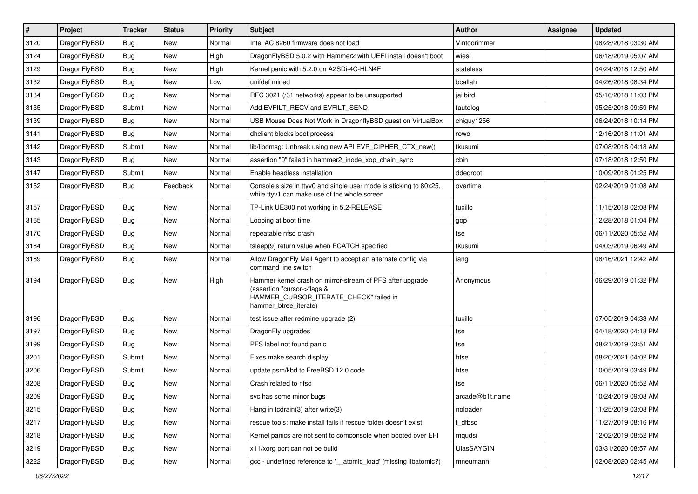| $\sharp$ | Project      | <b>Tracker</b> | <b>Status</b> | Priority | Subject                                                                                                                                                     | <b>Author</b>     | Assignee | <b>Updated</b>      |
|----------|--------------|----------------|---------------|----------|-------------------------------------------------------------------------------------------------------------------------------------------------------------|-------------------|----------|---------------------|
| 3120     | DragonFlyBSD | Bug            | New           | Normal   | Intel AC 8260 firmware does not load                                                                                                                        | Vintodrimmer      |          | 08/28/2018 03:30 AM |
| 3124     | DragonFlyBSD | Bug            | <b>New</b>    | High     | DragonFlyBSD 5.0.2 with Hammer2 with UEFI install doesn't boot                                                                                              | wiesl             |          | 06/18/2019 05:07 AM |
| 3129     | DragonFlyBSD | <b>Bug</b>     | New           | High     | Kernel panic with 5.2.0 on A2SDi-4C-HLN4F                                                                                                                   | stateless         |          | 04/24/2018 12:50 AM |
| 3132     | DragonFlyBSD | Bug            | <b>New</b>    | Low      | unifdef mined                                                                                                                                               | bcallah           |          | 04/26/2018 08:34 PM |
| 3134     | DragonFlyBSD | Bug            | <b>New</b>    | Normal   | RFC 3021 (/31 networks) appear to be unsupported                                                                                                            | jailbird          |          | 05/16/2018 11:03 PM |
| 3135     | DragonFlyBSD | Submit         | <b>New</b>    | Normal   | Add EVFILT RECV and EVFILT SEND                                                                                                                             | tautolog          |          | 05/25/2018 09:59 PM |
| 3139     | DragonFlyBSD | Bug            | New           | Normal   | USB Mouse Does Not Work in DragonflyBSD guest on VirtualBox                                                                                                 | chiguy1256        |          | 06/24/2018 10:14 PM |
| 3141     | DragonFlyBSD | Bug            | <b>New</b>    | Normal   | dhclient blocks boot process                                                                                                                                | rowo              |          | 12/16/2018 11:01 AM |
| 3142     | DragonFlyBSD | Submit         | <b>New</b>    | Normal   | lib/libdmsg: Unbreak using new API EVP_CIPHER_CTX_new()                                                                                                     | tkusumi           |          | 07/08/2018 04:18 AM |
| 3143     | DragonFlyBSD | Bug            | <b>New</b>    | Normal   | assertion "0" failed in hammer2_inode_xop_chain_sync                                                                                                        | cbin              |          | 07/18/2018 12:50 PM |
| 3147     | DragonFlyBSD | Submit         | <b>New</b>    | Normal   | Enable headless installation                                                                                                                                | ddegroot          |          | 10/09/2018 01:25 PM |
| 3152     | DragonFlyBSD | Bug            | Feedback      | Normal   | Console's size in ttyv0 and single user mode is sticking to 80x25,<br>while ttyv1 can make use of the whole screen                                          | overtime          |          | 02/24/2019 01:08 AM |
| 3157     | DragonFlyBSD | <b>Bug</b>     | <b>New</b>    | Normal   | TP-Link UE300 not working in 5.2-RELEASE                                                                                                                    | tuxillo           |          | 11/15/2018 02:08 PM |
| 3165     | DragonFlyBSD | Bug            | <b>New</b>    | Normal   | Looping at boot time                                                                                                                                        | gop               |          | 12/28/2018 01:04 PM |
| 3170     | DragonFlyBSD | <b>Bug</b>     | New           | Normal   | repeatable nfsd crash                                                                                                                                       | tse               |          | 06/11/2020 05:52 AM |
| 3184     | DragonFlyBSD | <b>Bug</b>     | <b>New</b>    | Normal   | tsleep(9) return value when PCATCH specified                                                                                                                | tkusumi           |          | 04/03/2019 06:49 AM |
| 3189     | DragonFlyBSD | Bug            | New           | Normal   | Allow DragonFly Mail Agent to accept an alternate config via<br>command line switch                                                                         | iang              |          | 08/16/2021 12:42 AM |
| 3194     | DragonFlyBSD | Bug            | New           | High     | Hammer kernel crash on mirror-stream of PFS after upgrade<br>(assertion "cursor->flags &<br>HAMMER_CURSOR_ITERATE_CHECK" failed in<br>hammer_btree_iterate) | Anonymous         |          | 06/29/2019 01:32 PM |
| 3196     | DragonFlyBSD | Bug            | <b>New</b>    | Normal   | test issue after redmine upgrade (2)                                                                                                                        | tuxillo           |          | 07/05/2019 04:33 AM |
| 3197     | DragonFlyBSD | Bug            | <b>New</b>    | Normal   | DragonFly upgrades                                                                                                                                          | tse               |          | 04/18/2020 04:18 PM |
| 3199     | DragonFlyBSD | Bug            | <b>New</b>    | Normal   | PFS label not found panic                                                                                                                                   | tse               |          | 08/21/2019 03:51 AM |
| 3201     | DragonFlyBSD | Submit         | New           | Normal   | Fixes make search display                                                                                                                                   | htse              |          | 08/20/2021 04:02 PM |
| 3206     | DragonFlyBSD | Submit         | New           | Normal   | update psm/kbd to FreeBSD 12.0 code                                                                                                                         | htse              |          | 10/05/2019 03:49 PM |
| 3208     | DragonFlyBSD | Bug            | New           | Normal   | Crash related to nfsd                                                                                                                                       | tse               |          | 06/11/2020 05:52 AM |
| 3209     | DragonFlyBSD | <b>Bug</b>     | <b>New</b>    | Normal   | svc has some minor bugs                                                                                                                                     | arcade@b1t.name   |          | 10/24/2019 09:08 AM |
| 3215     | DragonFlyBSD | <b>Bug</b>     | <b>New</b>    | Normal   | Hang in todrain(3) after write(3)                                                                                                                           | noloader          |          | 11/25/2019 03:08 PM |
| 3217     | DragonFlyBSD | <b>Bug</b>     | New           | Normal   | rescue tools: make install fails if rescue folder doesn't exist                                                                                             | t dfbsd           |          | 11/27/2019 08:16 PM |
| 3218     | DragonFlyBSD | <b>Bug</b>     | New           | Normal   | Kernel panics are not sent to comconsole when booted over EFI                                                                                               | mqudsi            |          | 12/02/2019 08:52 PM |
| 3219     | DragonFlyBSD | <b>Bug</b>     | New           | Normal   | x11/xorg port can not be build                                                                                                                              | <b>UlasSAYGIN</b> |          | 03/31/2020 08:57 AM |
| 3222     | DragonFlyBSD | <b>Bug</b>     | New           | Normal   | gcc - undefined reference to '__atomic_load' (missing libatomic?)                                                                                           | mneumann          |          | 02/08/2020 02:45 AM |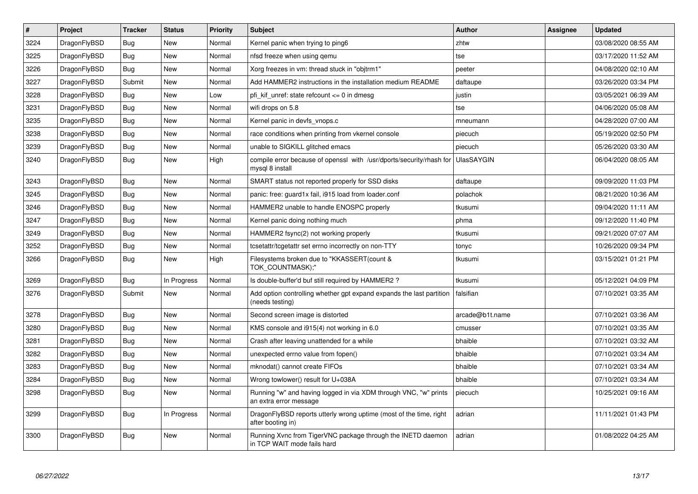| $\vert$ # | Project      | <b>Tracker</b> | <b>Status</b> | <b>Priority</b> | <b>Subject</b>                                                                             | Author            | Assignee | <b>Updated</b>      |
|-----------|--------------|----------------|---------------|-----------------|--------------------------------------------------------------------------------------------|-------------------|----------|---------------------|
| 3224      | DragonFlyBSD | <b>Bug</b>     | <b>New</b>    | Normal          | Kernel panic when trying to ping6                                                          | zhtw              |          | 03/08/2020 08:55 AM |
| 3225      | DragonFlyBSD | Bug            | <b>New</b>    | Normal          | nfsd freeze when using gemu                                                                | tse               |          | 03/17/2020 11:52 AM |
| 3226      | DragonFlyBSD | Bug            | <b>New</b>    | Normal          | Xorg freezes in vm: thread stuck in "objtrm1"                                              | peeter            |          | 04/08/2020 02:10 AM |
| 3227      | DragonFlyBSD | Submit         | <b>New</b>    | Normal          | Add HAMMER2 instructions in the installation medium README                                 | daftaupe          |          | 03/26/2020 03:34 PM |
| 3228      | DragonFlyBSD | <b>Bug</b>     | <b>New</b>    | Low             | pfi kif unref: state refcount $\leq 0$ in dmesg                                            | justin            |          | 03/05/2021 06:39 AM |
| 3231      | DragonFlyBSD | <b>Bug</b>     | <b>New</b>    | Normal          | wifi drops on 5.8                                                                          | tse               |          | 04/06/2020 05:08 AM |
| 3235      | DragonFlyBSD | Bug            | New           | Normal          | Kernel panic in devfs vnops.c                                                              | mneumann          |          | 04/28/2020 07:00 AM |
| 3238      | DragonFlyBSD | Bug            | New           | Normal          | race conditions when printing from vkernel console                                         | piecuch           |          | 05/19/2020 02:50 PM |
| 3239      | DragonFlyBSD | <b>Bug</b>     | New           | Normal          | unable to SIGKILL glitched emacs                                                           | piecuch           |          | 05/26/2020 03:30 AM |
| 3240      | DragonFlyBSD | Bug            | New           | High            | compile error because of openssl with /usr/dports/security/rhash for<br>mysql 8 install    | <b>UlasSAYGIN</b> |          | 06/04/2020 08:05 AM |
| 3243      | DragonFlyBSD | Bug            | New           | Normal          | SMART status not reported properly for SSD disks                                           | daftaupe          |          | 09/09/2020 11:03 PM |
| 3245      | DragonFlyBSD | Bug            | <b>New</b>    | Normal          | panic: free: guard1x fail, i915 load from loader.conf                                      | polachok          |          | 08/21/2020 10:36 AM |
| 3246      | DragonFlyBSD | <b>Bug</b>     | New           | Normal          | HAMMER2 unable to handle ENOSPC properly                                                   | tkusumi           |          | 09/04/2020 11:11 AM |
| 3247      | DragonFlyBSD | Bug            | <b>New</b>    | Normal          | Kernel panic doing nothing much                                                            | phma              |          | 09/12/2020 11:40 PM |
| 3249      | DragonFlyBSD | <b>Bug</b>     | <b>New</b>    | Normal          | HAMMER2 fsync(2) not working properly                                                      | tkusumi           |          | 09/21/2020 07:07 AM |
| 3252      | DragonFlyBSD | <b>Bug</b>     | <b>New</b>    | Normal          | tcsetattr/tcgetattr set errno incorrectly on non-TTY                                       | tonyc             |          | 10/26/2020 09:34 PM |
| 3266      | DragonFlyBSD | Bug            | New           | High            | Filesystems broken due to "KKASSERT(count &<br>TOK_COUNTMASK);"                            | tkusumi           |          | 03/15/2021 01:21 PM |
| 3269      | DragonFlyBSD | Bug            | In Progress   | Normal          | Is double-buffer'd buf still required by HAMMER2?                                          | tkusumi           |          | 05/12/2021 04:09 PM |
| 3276      | DragonFlyBSD | Submit         | New           | Normal          | Add option controlling whether gpt expand expands the last partition<br>(needs testing)    | falsifian         |          | 07/10/2021 03:35 AM |
| 3278      | DragonFlyBSD | Bug            | <b>New</b>    | Normal          | Second screen image is distorted                                                           | arcade@b1t.name   |          | 07/10/2021 03:36 AM |
| 3280      | DragonFlyBSD | <b>Bug</b>     | New           | Normal          | KMS console and i915(4) not working in 6.0                                                 | cmusser           |          | 07/10/2021 03:35 AM |
| 3281      | DragonFlyBSD | Bug            | <b>New</b>    | Normal          | Crash after leaving unattended for a while                                                 | bhaible           |          | 07/10/2021 03:32 AM |
| 3282      | DragonFlyBSD | <b>Bug</b>     | <b>New</b>    | Normal          | unexpected errno value from fopen()                                                        | bhaible           |          | 07/10/2021 03:34 AM |
| 3283      | DragonFlyBSD | Bug            | New           | Normal          | mknodat() cannot create FIFOs                                                              | bhaible           |          | 07/10/2021 03:34 AM |
| 3284      | DragonFlyBSD | Bug            | New           | Normal          | Wrong towlower() result for U+038A                                                         | bhaible           |          | 07/10/2021 03:34 AM |
| 3298      | DragonFlyBSD | <b>Bug</b>     | New           | Normal          | Running "w" and having logged in via XDM through VNC, "w" prints<br>an extra error message | piecuch           |          | 10/25/2021 09:16 AM |
| 3299      | DragonFlyBSD | <b>Bug</b>     | In Progress   | Normal          | DragonFlyBSD reports utterly wrong uptime (most of the time, right<br>after booting in)    | adrian            |          | 11/11/2021 01:43 PM |
| 3300      | DragonFlyBSD | <b>Bug</b>     | <b>New</b>    | Normal          | Running Xvnc from TigerVNC package through the INETD daemon<br>in TCP WAIT mode fails hard | adrian            |          | 01/08/2022 04:25 AM |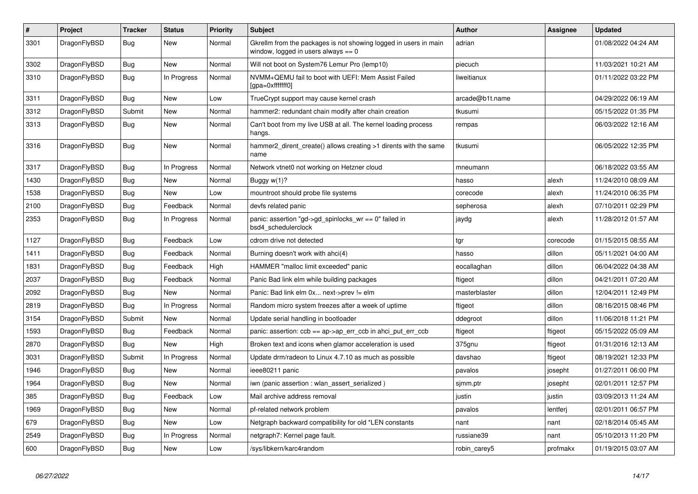| $\pmb{\#}$ | Project      | <b>Tracker</b> | <b>Status</b> | <b>Priority</b> | <b>Subject</b>                                                                                            | <b>Author</b>   | Assignee | Updated             |
|------------|--------------|----------------|---------------|-----------------|-----------------------------------------------------------------------------------------------------------|-----------------|----------|---------------------|
| 3301       | DragonFlyBSD | Bug            | New           | Normal          | Gkrellm from the packages is not showing logged in users in main<br>window, logged in users always $== 0$ | adrian          |          | 01/08/2022 04:24 AM |
| 3302       | DragonFlyBSD | Bug            | <b>New</b>    | Normal          | Will not boot on System76 Lemur Pro (lemp10)                                                              | piecuch         |          | 11/03/2021 10:21 AM |
| 3310       | DragonFlyBSD | <b>Bug</b>     | In Progress   | Normal          | NVMM+QEMU fail to boot with UEFI: Mem Assist Failed<br>[gpa=0xfffffff0]                                   | liweitianux     |          | 01/11/2022 03:22 PM |
| 3311       | DragonFlyBSD | <b>Bug</b>     | <b>New</b>    | Low             | TrueCrypt support may cause kernel crash                                                                  | arcade@b1t.name |          | 04/29/2022 06:19 AM |
| 3312       | DragonFlyBSD | Submit         | <b>New</b>    | Normal          | hammer2: redundant chain modify after chain creation                                                      | tkusumi         |          | 05/15/2022 01:35 PM |
| 3313       | DragonFlyBSD | <b>Bug</b>     | <b>New</b>    | Normal          | Can't boot from my live USB at all. The kernel loading process<br>hangs.                                  | rempas          |          | 06/03/2022 12:16 AM |
| 3316       | DragonFlyBSD | Bug            | <b>New</b>    | Normal          | hammer2 dirent create() allows creating >1 dirents with the same<br>name                                  | tkusumi         |          | 06/05/2022 12:35 PM |
| 3317       | DragonFlyBSD | Bug            | In Progress   | Normal          | Network vtnet0 not working on Hetzner cloud                                                               | mneumann        |          | 06/18/2022 03:55 AM |
| 1430       | DragonFlyBSD | Bug            | New           | Normal          | Buggy $w(1)$ ?                                                                                            | hasso           | alexh    | 11/24/2010 08:09 AM |
| 1538       | DragonFlyBSD | <b>Bug</b>     | <b>New</b>    | Low             | mountroot should probe file systems                                                                       | corecode        | alexh    | 11/24/2010 06:35 PM |
| 2100       | DragonFlyBSD | Bug            | Feedback      | Normal          | devfs related panic                                                                                       | sepherosa       | alexh    | 07/10/2011 02:29 PM |
| 2353       | DragonFlyBSD | Bug            | In Progress   | Normal          | panic: assertion "gd->gd spinlocks $wr == 0$ " failed in<br>bsd4 schedulerclock                           | jaydg           | alexh    | 11/28/2012 01:57 AM |
| 1127       | DragonFlyBSD | <b>Bug</b>     | Feedback      | Low             | cdrom drive not detected                                                                                  | tgr             | corecode | 01/15/2015 08:55 AM |
| 1411       | DragonFlyBSD | Bug            | Feedback      | Normal          | Burning doesn't work with ahci(4)                                                                         | hasso           | dillon   | 05/11/2021 04:00 AM |
| 1831       | DragonFlyBSD | <b>Bug</b>     | Feedback      | High            | HAMMER "malloc limit exceeded" panic                                                                      | eocallaghan     | dillon   | 06/04/2022 04:38 AM |
| 2037       | DragonFlyBSD | <b>Bug</b>     | Feedback      | Normal          | Panic Bad link elm while building packages                                                                | ftigeot         | dillon   | 04/21/2011 07:20 AM |
| 2092       | DragonFlyBSD | Bug            | <b>New</b>    | Normal          | Panic: Bad link elm 0x next->prev != elm                                                                  | masterblaster   | dillon   | 12/04/2011 12:49 PM |
| 2819       | DragonFlyBSD | Bug            | In Progress   | Normal          | Random micro system freezes after a week of uptime                                                        | ftigeot         | dillon   | 08/16/2015 08:46 PM |
| 3154       | DragonFlyBSD | Submit         | New           | Normal          | Update serial handling in bootloader                                                                      | ddegroot        | dillon   | 11/06/2018 11:21 PM |
| 1593       | DragonFlyBSD | Bug            | Feedback      | Normal          | panic: assertion: $ccb == ap > ap\_err\_ccb$ in ahci_put_err_ccb                                          | ftigeot         | ftigeot  | 05/15/2022 05:09 AM |
| 2870       | DragonFlyBSD | Bug            | <b>New</b>    | High            | Broken text and icons when glamor acceleration is used                                                    | 375gnu          | ftigeot  | 01/31/2016 12:13 AM |
| 3031       | DragonFlyBSD | Submit         | In Progress   | Normal          | Update drm/radeon to Linux 4.7.10 as much as possible                                                     | davshao         | ftigeot  | 08/19/2021 12:33 PM |
| 1946       | DragonFlyBSD | <b>Bug</b>     | <b>New</b>    | Normal          | ieee80211 panic                                                                                           | pavalos         | josepht  | 01/27/2011 06:00 PM |
| 1964       | DragonFlyBSD | Bug            | <b>New</b>    | Normal          | iwn (panic assertion : wlan assert serialized)                                                            | sjmm.ptr        | josepht  | 02/01/2011 12:57 PM |
| 385        | DragonFlyBSD | Bug            | Feedback      | Low             | Mail archive address removal                                                                              | justin          | justin   | 03/09/2013 11:24 AM |
| 1969       | DragonFlyBSD | Bug            | <b>New</b>    | Normal          | pf-related network problem                                                                                | pavalos         | lentferj | 02/01/2011 06:57 PM |
| 679        | DragonFlyBSD | Bug            | <b>New</b>    | Low             | Netgraph backward compatibility for old *LEN constants                                                    | nant            | nant     | 02/18/2014 05:45 AM |
| 2549       | DragonFlyBSD | Bug            | In Progress   | Normal          | netgraph7: Kernel page fault.                                                                             | russiane39      | nant     | 05/10/2013 11:20 PM |
| 600        | DragonFlyBSD | <b>Bug</b>     | <b>New</b>    | Low             | /sys/libkern/karc4random                                                                                  | robin carey5    | profmakx | 01/19/2015 03:07 AM |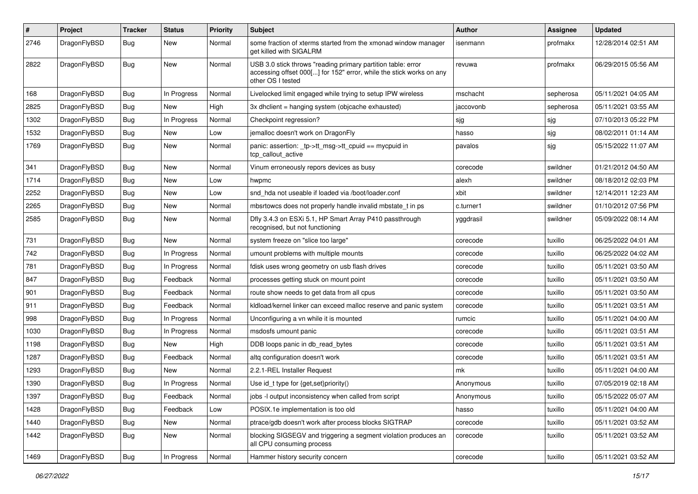| #    | Project      | <b>Tracker</b> | <b>Status</b> | <b>Priority</b> | Subject                                                                                                                                                  | Author    | <b>Assignee</b> | <b>Updated</b>      |
|------|--------------|----------------|---------------|-----------------|----------------------------------------------------------------------------------------------------------------------------------------------------------|-----------|-----------------|---------------------|
| 2746 | DragonFlyBSD | <b>Bug</b>     | New           | Normal          | some fraction of xterms started from the xmonad window manager<br>get killed with SIGALRM                                                                | isenmann  | profmakx        | 12/28/2014 02:51 AM |
| 2822 | DragonFlyBSD | Bug            | New           | Normal          | USB 3.0 stick throws "reading primary partition table: error<br>accessing offset 000[] for 152" error, while the stick works on any<br>other OS I tested | revuwa    | profmakx        | 06/29/2015 05:56 AM |
| 168  | DragonFlyBSD | <b>Bug</b>     | In Progress   | Normal          | Livelocked limit engaged while trying to setup IPW wireless                                                                                              | mschacht  | sepherosa       | 05/11/2021 04:05 AM |
| 2825 | DragonFlyBSD | <b>Bug</b>     | New           | High            | 3x dhclient = hanging system (objcache exhausted)                                                                                                        | jaccovonb | sepherosa       | 05/11/2021 03:55 AM |
| 1302 | DragonFlyBSD | <b>Bug</b>     | In Progress   | Normal          | Checkpoint regression?                                                                                                                                   | sjg       | sjg             | 07/10/2013 05:22 PM |
| 1532 | DragonFlyBSD | <b>Bug</b>     | New           | Low             | jemalloc doesn't work on DragonFly                                                                                                                       | hasso     | sjg             | 08/02/2011 01:14 AM |
| 1769 | DragonFlyBSD | <b>Bug</b>     | New           | Normal          | panic: assertion: _tp->tt_msg->tt_cpuid == mycpuid in<br>tcp callout active                                                                              | pavalos   | sjg             | 05/15/2022 11:07 AM |
| 341  | DragonFlyBSD | Bug            | New           | Normal          | Vinum erroneously repors devices as busy                                                                                                                 | corecode  | swildner        | 01/21/2012 04:50 AM |
| 1714 | DragonFlyBSD | <b>Bug</b>     | New           | Low             | hwpmc                                                                                                                                                    | alexh     | swildner        | 08/18/2012 02:03 PM |
| 2252 | DragonFlyBSD | <b>Bug</b>     | New           | Low             | snd hda not useable if loaded via /boot/loader.conf                                                                                                      | xbit      | swildner        | 12/14/2011 12:23 AM |
| 2265 | DragonFlyBSD | <b>Bug</b>     | <b>New</b>    | Normal          | mbsrtowcs does not properly handle invalid mbstate_t in ps                                                                                               | c.turner1 | swildner        | 01/10/2012 07:56 PM |
| 2585 | DragonFlyBSD | <b>Bug</b>     | New           | Normal          | Dfly 3.4.3 on ESXi 5.1, HP Smart Array P410 passthrough<br>recognised, but not functioning                                                               | yggdrasil | swildner        | 05/09/2022 08:14 AM |
| 731  | DragonFlyBSD | Bug            | New           | Normal          | system freeze on "slice too large"                                                                                                                       | corecode  | tuxillo         | 06/25/2022 04:01 AM |
| 742  | DragonFlyBSD | <b>Bug</b>     | In Progress   | Normal          | umount problems with multiple mounts                                                                                                                     | corecode  | tuxillo         | 06/25/2022 04:02 AM |
| 781  | DragonFlyBSD | <b>Bug</b>     | In Progress   | Normal          | fdisk uses wrong geometry on usb flash drives                                                                                                            | corecode  | tuxillo         | 05/11/2021 03:50 AM |
| 847  | DragonFlyBSD | <b>Bug</b>     | Feedback      | Normal          | processes getting stuck on mount point                                                                                                                   | corecode  | tuxillo         | 05/11/2021 03:50 AM |
| 901  | DragonFlyBSD | <b>Bug</b>     | Feedback      | Normal          | route show needs to get data from all cpus                                                                                                               | corecode  | tuxillo         | 05/11/2021 03:50 AM |
| 911  | DragonFlyBSD | <b>Bug</b>     | Feedback      | Normal          | kidload/kernel linker can exceed malloc reserve and panic system                                                                                         | corecode  | tuxillo         | 05/11/2021 03:51 AM |
| 998  | DragonFlyBSD | <b>Bug</b>     | In Progress   | Normal          | Unconfiguring a vn while it is mounted                                                                                                                   | rumcic    | tuxillo         | 05/11/2021 04:00 AM |
| 1030 | DragonFlyBSD | <b>Bug</b>     | In Progress   | Normal          | msdosfs umount panic                                                                                                                                     | corecode  | tuxillo         | 05/11/2021 03:51 AM |
| 1198 | DragonFlyBSD | Bug            | New           | High            | DDB loops panic in db_read_bytes                                                                                                                         | corecode  | tuxillo         | 05/11/2021 03:51 AM |
| 1287 | DragonFlyBSD | <b>Bug</b>     | Feedback      | Normal          | altg configuration doesn't work                                                                                                                          | corecode  | tuxillo         | 05/11/2021 03:51 AM |
| 1293 | DragonFlyBSD | <b>Bug</b>     | New           | Normal          | 2.2.1-REL Installer Request                                                                                                                              | mk        | tuxillo         | 05/11/2021 04:00 AM |
| 1390 | DragonFlyBSD | <b>Bug</b>     | In Progress   | Normal          | Use id_t type for {get,set}priority()                                                                                                                    | Anonymous | tuxillo         | 07/05/2019 02:18 AM |
| 1397 | DragonFlyBSD | <b>Bug</b>     | Feedback      | Normal          | jobs -I output inconsistency when called from script                                                                                                     | Anonymous | tuxillo         | 05/15/2022 05:07 AM |
| 1428 | DragonFlyBSD | <b>Bug</b>     | Feedback      | Low             | POSIX.1e implementation is too old                                                                                                                       | hasso     | tuxillo         | 05/11/2021 04:00 AM |
| 1440 | DragonFlyBSD | <b>Bug</b>     | New           | Normal          | ptrace/gdb doesn't work after process blocks SIGTRAP                                                                                                     | corecode  | tuxillo         | 05/11/2021 03:52 AM |
| 1442 | DragonFlyBSD | <b>Bug</b>     | New           | Normal          | blocking SIGSEGV and triggering a segment violation produces an<br>all CPU consuming process                                                             | corecode  | tuxillo         | 05/11/2021 03:52 AM |
| 1469 | DragonFlyBSD | <b>Bug</b>     | In Progress   | Normal          | Hammer history security concern                                                                                                                          | corecode  | tuxillo         | 05/11/2021 03:52 AM |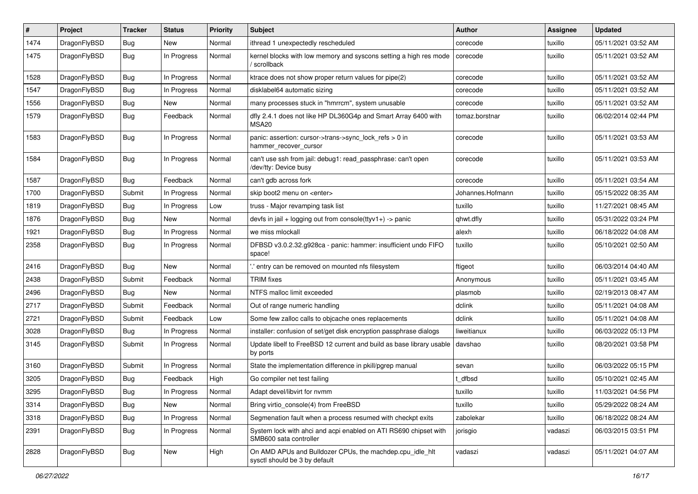| ∦    | Project      | <b>Tracker</b> | <b>Status</b> | <b>Priority</b> | Subject                                                                                    | <b>Author</b>    | <b>Assignee</b> | <b>Updated</b>      |
|------|--------------|----------------|---------------|-----------------|--------------------------------------------------------------------------------------------|------------------|-----------------|---------------------|
| 1474 | DragonFlyBSD | Bug            | New           | Normal          | ithread 1 unexpectedly rescheduled                                                         | corecode         | tuxillo         | 05/11/2021 03:52 AM |
| 1475 | DragonFlyBSD | Bug            | In Progress   | Normal          | kernel blocks with low memory and syscons setting a high res mode<br>/ scrollback          | corecode         | tuxillo         | 05/11/2021 03:52 AM |
| 1528 | DragonFlyBSD | Bug            | In Progress   | Normal          | ktrace does not show proper return values for pipe(2)                                      | corecode         | tuxillo         | 05/11/2021 03:52 AM |
| 1547 | DragonFlyBSD | <b>Bug</b>     | In Progress   | Normal          | disklabel64 automatic sizing                                                               | corecode         | tuxillo         | 05/11/2021 03:52 AM |
| 1556 | DragonFlyBSD | <b>Bug</b>     | New           | Normal          | many processes stuck in "hmrrcm", system unusable                                          | corecode         | tuxillo         | 05/11/2021 03:52 AM |
| 1579 | DragonFlyBSD | <b>Bug</b>     | Feedback      | Normal          | dfly 2.4.1 does not like HP DL360G4p and Smart Array 6400 with<br>MSA <sub>20</sub>        | tomaz.borstnar   | tuxillo         | 06/02/2014 02:44 PM |
| 1583 | DragonFlyBSD | Bug            | In Progress   | Normal          | panic: assertion: cursor->trans->sync_lock_refs > 0 in<br>hammer_recover_cursor            | corecode         | tuxillo         | 05/11/2021 03:53 AM |
| 1584 | DragonFlyBSD | <b>Bug</b>     | In Progress   | Normal          | can't use ssh from jail: debug1: read_passphrase: can't open<br>/dev/tty: Device busy      | corecode         | tuxillo         | 05/11/2021 03:53 AM |
| 1587 | DragonFlyBSD | <b>Bug</b>     | Feedback      | Normal          | can't gdb across fork                                                                      | corecode         | tuxillo         | 05/11/2021 03:54 AM |
| 1700 | DragonFlyBSD | Submit         | In Progress   | Normal          | skip boot2 menu on <enter></enter>                                                         | Johannes.Hofmann | tuxillo         | 05/15/2022 08:35 AM |
| 1819 | DragonFlyBSD | Bug            | In Progress   | Low             | truss - Major revamping task list                                                          | tuxillo          | tuxillo         | 11/27/2021 08:45 AM |
| 1876 | DragonFlyBSD | <b>Bug</b>     | New           | Normal          | devfs in $ ail + logging$ out from console(ttyv1+) -> panic                                | qhwt.dfly        | tuxillo         | 05/31/2022 03:24 PM |
| 1921 | DragonFlyBSD | <b>Bug</b>     | In Progress   | Normal          | we miss mlockall                                                                           | alexh            | tuxillo         | 06/18/2022 04:08 AM |
| 2358 | DragonFlyBSD | Bug            | In Progress   | Normal          | DFBSD v3.0.2.32.g928ca - panic: hammer: insufficient undo FIFO<br>space!                   | tuxillo          | tuxillo         | 05/10/2021 02:50 AM |
| 2416 | DragonFlyBSD | Bug            | New           | Normal          | 'entry can be removed on mounted nfs filesystem                                            | ftigeot          | tuxillo         | 06/03/2014 04:40 AM |
| 2438 | DragonFlyBSD | Submit         | Feedback      | Normal          | <b>TRIM</b> fixes                                                                          | Anonymous        | tuxillo         | 05/11/2021 03:45 AM |
| 2496 | DragonFlyBSD | <b>Bug</b>     | New           | Normal          | NTFS malloc limit exceeded                                                                 | plasmob          | tuxillo         | 02/19/2013 08:47 AM |
| 2717 | DragonFlyBSD | Submit         | Feedback      | Normal          | Out of range numeric handling                                                              | dclink           | tuxillo         | 05/11/2021 04:08 AM |
| 2721 | DragonFlyBSD | Submit         | Feedback      | Low             | Some few zalloc calls to objcache ones replacements                                        | dclink           | tuxillo         | 05/11/2021 04:08 AM |
| 3028 | DragonFlyBSD | Bug            | In Progress   | Normal          | installer: confusion of set/get disk encryption passphrase dialogs                         | liweitianux      | tuxillo         | 06/03/2022 05:13 PM |
| 3145 | DragonFlyBSD | Submit         | In Progress   | Normal          | Update libelf to FreeBSD 12 current and build as base library usable<br>by ports           | davshao          | tuxillo         | 08/20/2021 03:58 PM |
| 3160 | DragonFlyBSD | Submit         | In Progress   | Normal          | State the implementation difference in pkill/pgrep manual                                  | sevan            | tuxillo         | 06/03/2022 05:15 PM |
| 3205 | DragonFlyBSD | <b>Bug</b>     | Feedback      | High            | Go compiler net test failing                                                               | t dfbsd          | tuxillo         | 05/10/2021 02:45 AM |
| 3295 | DragonFlyBSD | Bug            | In Progress   | Normal          | Adapt devel/libvirt for nymm                                                               | tuxillo          | tuxillo         | 11/03/2021 04:56 PM |
| 3314 | DragonFlyBSD | Bug            | New           | Normal          | Bring virtio_console(4) from FreeBSD                                                       | tuxillo          | tuxillo         | 05/29/2022 08:24 AM |
| 3318 | DragonFlyBSD | Bug            | In Progress   | Normal          | Segmenation fault when a process resumed with checkpt exits                                | zabolekar        | tuxillo         | 06/18/2022 08:24 AM |
| 2391 | DragonFlyBSD | <b>Bug</b>     | In Progress   | Normal          | System lock with ahci and acpi enabled on ATI RS690 chipset with<br>SMB600 sata controller | jorisgio         | vadaszi         | 06/03/2015 03:51 PM |
| 2828 | DragonFlyBSD | <b>Bug</b>     | New           | High            | On AMD APUs and Bulldozer CPUs, the machdep.cpu_idle_hlt<br>sysctl should be 3 by default  | vadaszi          | vadaszi         | 05/11/2021 04:07 AM |